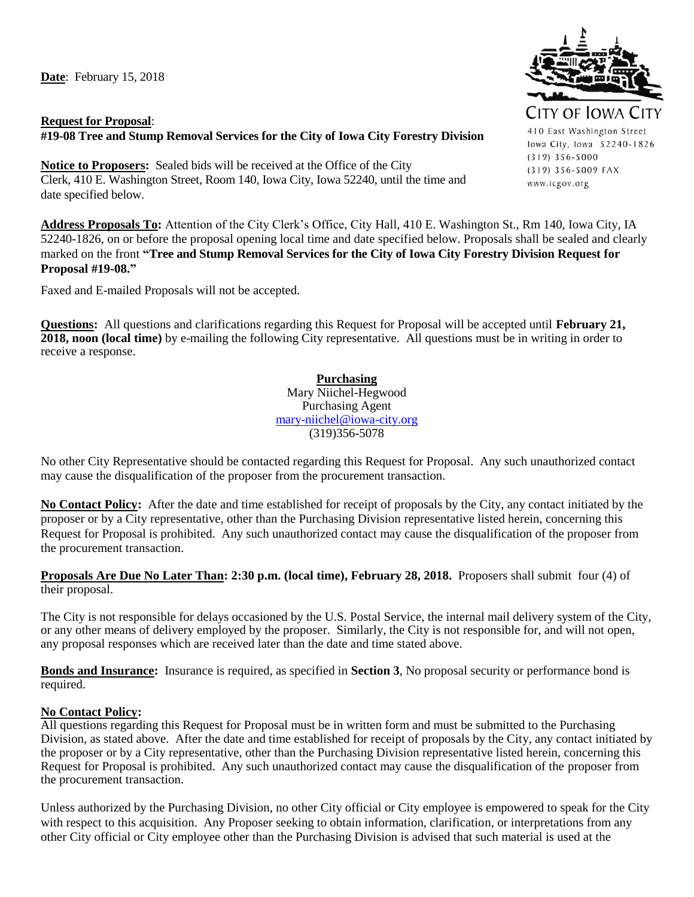**Date**: February 15, 2018

## **Request for Proposal**: **#19-08 Tree and Stump Removal Services for the City of Iowa City Forestry Division**

**Notice to Proposers:** Sealed bids will be received at the Office of the City Clerk, 410 E. Washington Street, Room 140, Iowa City, Iowa 52240, until the time and date specified below.

**Address Proposals To:** Attention of the City Clerk's Office, City Hall, 410 E. Washington St., Rm 140, Iowa City, IA 52240-1826, on or before the proposal opening local time and date specified below. Proposals shall be sealed and clearly marked on the front **"Tree and Stump Removal Services for the City of Iowa City Forestry Division Request for Proposal #19-08."** 

Faxed and E-mailed Proposals will not be accepted.

**Questions:** All questions and clarifications regarding this Request for Proposal will be accepted until **February 21, 2018, noon (local time)** by e-mailing the following City representative. All questions must be in writing in order to receive a response.

> **Purchasing** Mary Niichel-Hegwood Purchasing Agent [mary-niichel@iowa-city.org](mailto:mary-niichel@iowa-city.org) (319)356-5078

No other City Representative should be contacted regarding this Request for Proposal. Any such unauthorized contact may cause the disqualification of the proposer from the procurement transaction.

**No Contact Policy:** After the date and time established for receipt of proposals by the City, any contact initiated by the proposer or by a City representative, other than the Purchasing Division representative listed herein, concerning this Request for Proposal is prohibited. Any such unauthorized contact may cause the disqualification of the proposer from the procurement transaction.

#### **Proposals Are Due No Later Than: 2:30 p.m. (local time), February 28, 2018.** Proposers shall submit four (4) of their proposal.

The City is not responsible for delays occasioned by the U.S. Postal Service, the internal mail delivery system of the City, or any other means of delivery employed by the proposer. Similarly, the City is not responsible for, and will not open, any proposal responses which are received later than the date and time stated above.

**Bonds and Insurance:** Insurance is required, as specified in **Section 3**, No proposal security or performance bond is required.

#### **No Contact Policy:**

All questions regarding this Request for Proposal must be in written form and must be submitted to the Purchasing Division, as stated above. After the date and time established for receipt of proposals by the City, any contact initiated by the proposer or by a City representative, other than the Purchasing Division representative listed herein, concerning this Request for Proposal is prohibited. Any such unauthorized contact may cause the disqualification of the proposer from the procurement transaction.

Unless authorized by the Purchasing Division, no other City official or City employee is empowered to speak for the City with respect to this acquisition. Any Proposer seeking to obtain information, clarification, or interpretations from any other City official or City employee other than the Purchasing Division is advised that such material is used at the



410 East Washington Street lowa City, Iowa 52240-1826  $(319)$  356-5000 (319) 356-5009 FAX www.icgov.org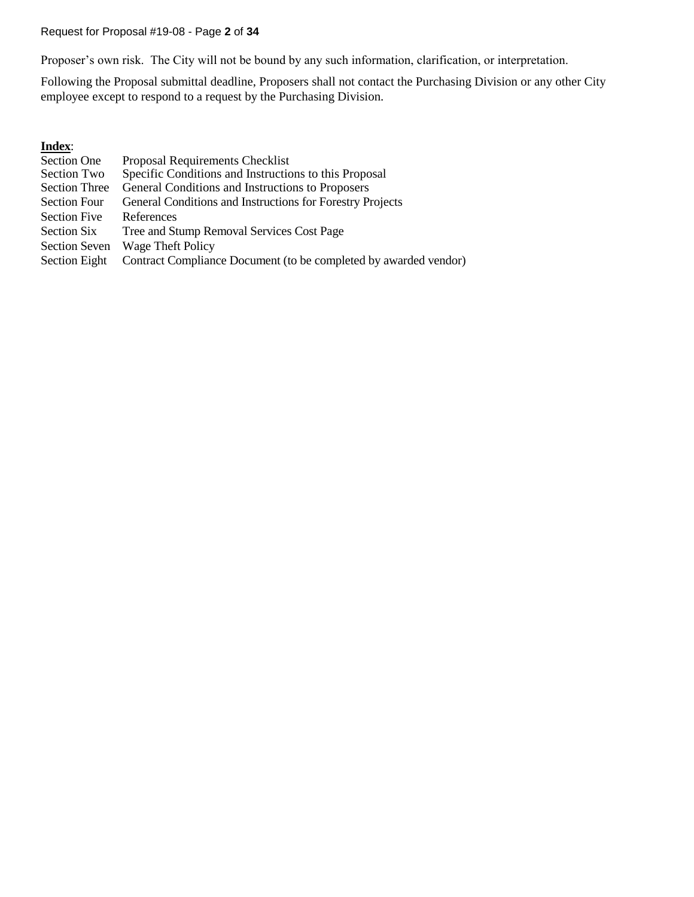Request for Proposal #19-08 - Page **2** of **34**

Proposer's own risk. The City will not be bound by any such information, clarification, or interpretation.

Following the Proposal submittal deadline, Proposers shall not contact the Purchasing Division or any other City employee except to respond to a request by the Purchasing Division.

## **Index**:

| Section One          | Proposal Requirements Checklist                                  |
|----------------------|------------------------------------------------------------------|
| Section Two          | Specific Conditions and Instructions to this Proposal            |
| <b>Section Three</b> | General Conditions and Instructions to Proposers                 |
| <b>Section Four</b>  | General Conditions and Instructions for Forestry Projects        |
| Section Five         | References                                                       |
| Section Six          | Tree and Stump Removal Services Cost Page                        |
| <b>Section Seven</b> | Wage Theft Policy                                                |
| Section Eight        | Contract Compliance Document (to be completed by awarded vendor) |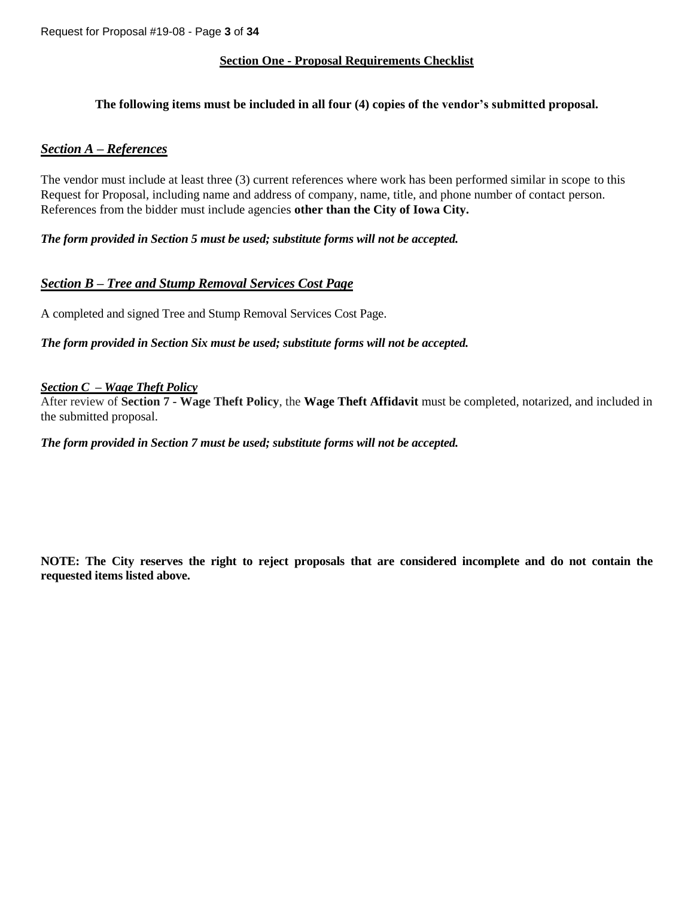#### **Section One - Proposal Requirements Checklist**

#### **The following items must be included in all four (4) copies of the vendor's submitted proposal.**

#### *Section A – References*

The vendor must include at least three (3) current references where work has been performed similar in scope to this Request for Proposal, including name and address of company, name, title, and phone number of contact person. References from the bidder must include agencies **other than the City of Iowa City.**

*The form provided in Section 5 must be used; substitute forms will not be accepted.*

## *Section B – Tree and Stump Removal Services Cost Page*

A completed and signed Tree and Stump Removal Services Cost Page.

*The form provided in Section Six must be used; substitute forms will not be accepted.*

#### *Section C – Wage Theft Policy*

After review of **Section 7 - Wage Theft Policy**, the **Wage Theft Affidavit** must be completed, notarized, and included in the submitted proposal.

*The form provided in Section 7 must be used; substitute forms will not be accepted.*

**NOTE: The City reserves the right to reject proposals that are considered incomplete and do not contain the requested items listed above.**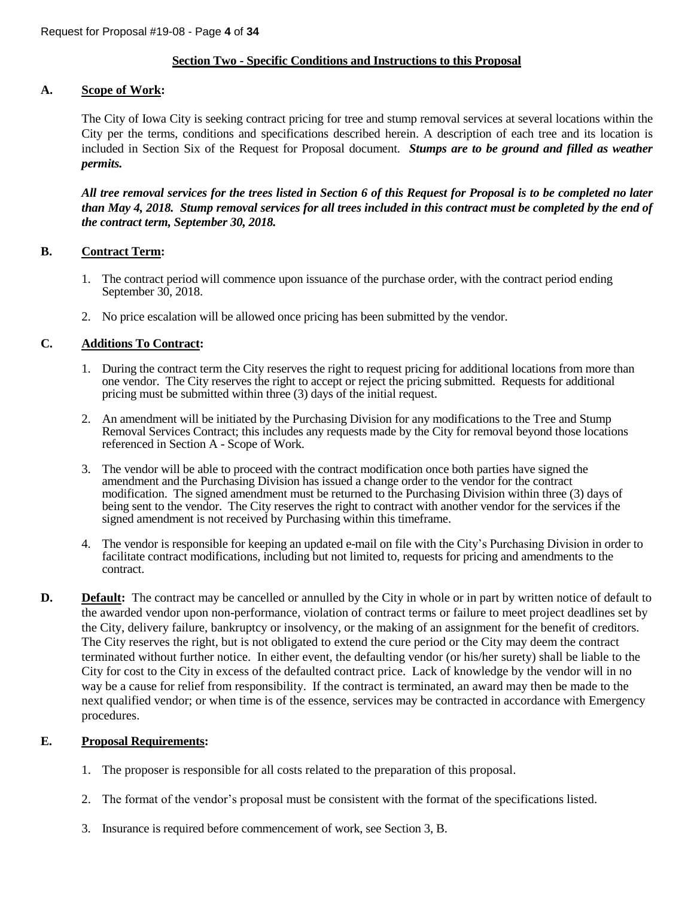#### **Section Two - Specific Conditions and Instructions to this Proposal**

#### **A. Scope of Work:**

The City of Iowa City is seeking contract pricing for tree and stump removal services at several locations within the City per the terms, conditions and specifications described herein. A description of each tree and its location is included in Section Six of the Request for Proposal document. *Stumps are to be ground and filled as weather permits.*

*All tree removal services for the trees listed in Section 6 of this Request for Proposal is to be completed no later than May 4, 2018. Stump removal services for all trees included in this contract must be completed by the end of the contract term, September 30, 2018.* 

#### **B. Contract Term:**

- 1. The contract period will commence upon issuance of the purchase order, with the contract period ending September 30, 2018.
- 2. No price escalation will be allowed once pricing has been submitted by the vendor.

## **C. Additions To Contract:**

- 1. During the contract term the City reserves the right to request pricing for additional locations from more than one vendor. The City reserves the right to accept or reject the pricing submitted. Requests for additional pricing must be submitted within three (3) days of the initial request.
- 2. An amendment will be initiated by the Purchasing Division for any modifications to the Tree and Stump Removal Services Contract; this includes any requests made by the City for removal beyond those locations referenced in Section A - Scope of Work.
- 3. The vendor will be able to proceed with the contract modification once both parties have signed the amendment and the Purchasing Division has issued a change order to the vendor for the contract modification. The signed amendment must be returned to the Purchasing Division within three (3) days of being sent to the vendor. The City reserves the right to contract with another vendor for the services if the signed amendment is not received by Purchasing within this timeframe.
- 4. The vendor is responsible for keeping an updated e-mail on file with the City's Purchasing Division in order to facilitate contract modifications, including but not limited to, requests for pricing and amendments to the contract.
- **D. Default:** The contract may be cancelled or annulled by the City in whole or in part by written notice of default to the awarded vendor upon non-performance, violation of contract terms or failure to meet project deadlines set by the City, delivery failure, bankruptcy or insolvency, or the making of an assignment for the benefit of creditors. The City reserves the right, but is not obligated to extend the cure period or the City may deem the contract terminated without further notice. In either event, the defaulting vendor (or his/her surety) shall be liable to the City for cost to the City in excess of the defaulted contract price. Lack of knowledge by the vendor will in no way be a cause for relief from responsibility. If the contract is terminated, an award may then be made to the next qualified vendor; or when time is of the essence, services may be contracted in accordance with Emergency procedures.

#### **E. Proposal Requirements:**

- 1. The proposer is responsible for all costs related to the preparation of this proposal.
- 2. The format of the vendor's proposal must be consistent with the format of the specifications listed.
- 3. Insurance is required before commencement of work, see Section 3, B.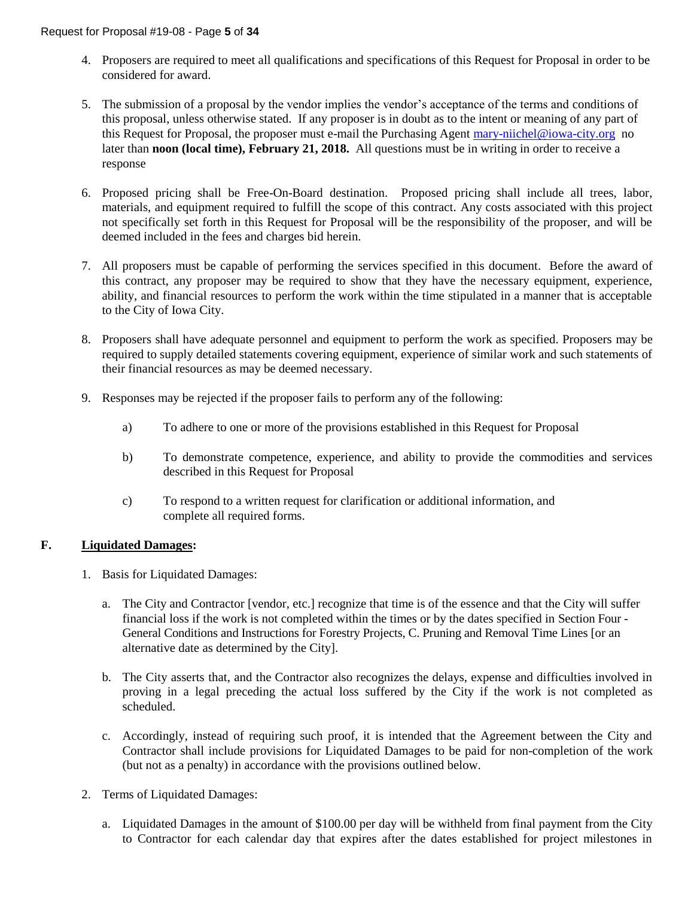- 4. Proposers are required to meet all qualifications and specifications of this Request for Proposal in order to be considered for award.
- 5. The submission of a proposal by the vendor implies the vendor's acceptance of the terms and conditions of this proposal, unless otherwise stated. If any proposer is in doubt as to the intent or meaning of any part of this Request for Proposal, the proposer must e-mail the Purchasing Agent [mary-niichel@iowa-city.org](mailto:mary-niichel@iowa-city.org) no later than **noon (local time), February 21, 2018.** All questions must be in writing in order to receive a response
- 6. Proposed pricing shall be Free-On-Board destination. Proposed pricing shall include all trees, labor, materials, and equipment required to fulfill the scope of this contract. Any costs associated with this project not specifically set forth in this Request for Proposal will be the responsibility of the proposer, and will be deemed included in the fees and charges bid herein.
- 7. All proposers must be capable of performing the services specified in this document. Before the award of this contract, any proposer may be required to show that they have the necessary equipment, experience, ability, and financial resources to perform the work within the time stipulated in a manner that is acceptable to the City of Iowa City.
- 8. Proposers shall have adequate personnel and equipment to perform the work as specified. Proposers may be required to supply detailed statements covering equipment, experience of similar work and such statements of their financial resources as may be deemed necessary.
- 9. Responses may be rejected if the proposer fails to perform any of the following:
	- a) To adhere to one or more of the provisions established in this Request for Proposal
	- b) To demonstrate competence, experience, and ability to provide the commodities and services described in this Request for Proposal
	- c) To respond to a written request for clarification or additional information, and complete all required forms.

## **F. Liquidated Damages:**

- 1. Basis for Liquidated Damages:
	- a. The City and Contractor [vendor, etc.] recognize that time is of the essence and that the City will suffer financial loss if the work is not completed within the times or by the dates specified in Section Four - General Conditions and Instructions for Forestry Projects, C. Pruning and Removal Time Lines [or an alternative date as determined by the City].
	- b. The City asserts that, and the Contractor also recognizes the delays, expense and difficulties involved in proving in a legal preceding the actual loss suffered by the City if the work is not completed as scheduled.
	- c. Accordingly, instead of requiring such proof, it is intended that the Agreement between the City and Contractor shall include provisions for Liquidated Damages to be paid for non-completion of the work (but not as a penalty) in accordance with the provisions outlined below.
- 2. Terms of Liquidated Damages:
	- a. Liquidated Damages in the amount of \$100.00 per day will be withheld from final payment from the City to Contractor for each calendar day that expires after the dates established for project milestones in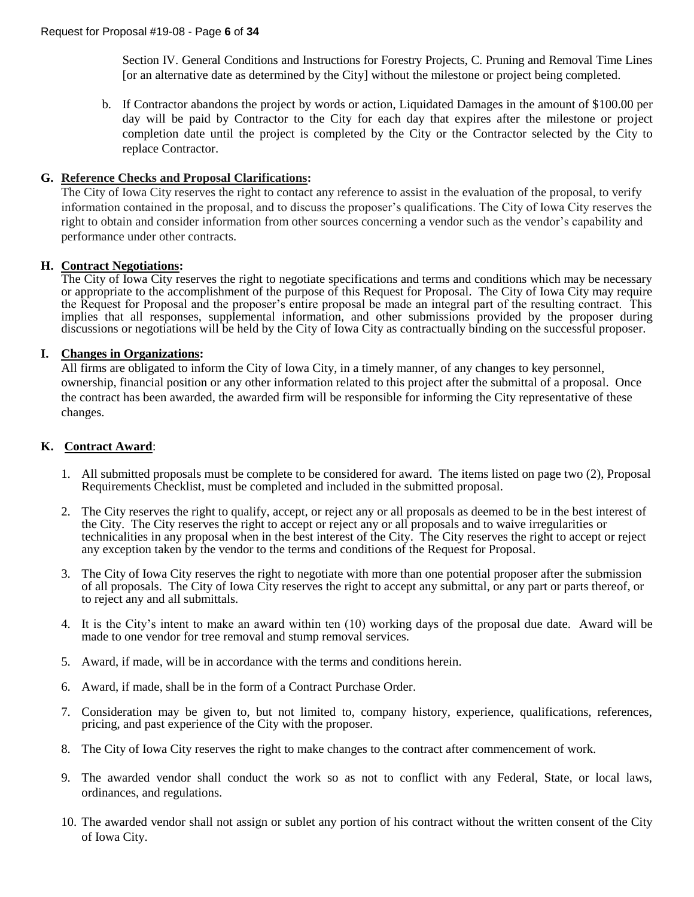Section IV. General Conditions and Instructions for Forestry Projects, C. Pruning and Removal Time Lines [or an alternative date as determined by the City] without the milestone or project being completed.

b. If Contractor abandons the project by words or action, Liquidated Damages in the amount of \$100.00 per day will be paid by Contractor to the City for each day that expires after the milestone or project completion date until the project is completed by the City or the Contractor selected by the City to replace Contractor.

#### **G. Reference Checks and Proposal Clarifications:**

The City of Iowa City reserves the right to contact any reference to assist in the evaluation of the proposal, to verify information contained in the proposal, and to discuss the proposer's qualifications. The City of Iowa City reserves the right to obtain and consider information from other sources concerning a vendor such as the vendor's capability and performance under other contracts.

#### **H. Contract Negotiations:**

The City of Iowa City reserves the right to negotiate specifications and terms and conditions which may be necessary or appropriate to the accomplishment of the purpose of this Request for Proposal. The City of Iowa City may require the Request for Proposal and the proposer's entire proposal be made an integral part of the resulting contract. This implies that all responses, supplemental information, and other submissions provided by the proposer during discussions or negotiations will be held by the City of Iowa City as contractually binding on the successful proposer.

#### **I. Changes in Organizations:**

All firms are obligated to inform the City of Iowa City, in a timely manner, of any changes to key personnel, ownership, financial position or any other information related to this project after the submittal of a proposal. Once the contract has been awarded, the awarded firm will be responsible for informing the City representative of these changes.

#### **K. Contract Award**:

- 1. All submitted proposals must be complete to be considered for award. The items listed on page two (2), Proposal Requirements Checklist, must be completed and included in the submitted proposal.
- 2. The City reserves the right to qualify, accept, or reject any or all proposals as deemed to be in the best interest of the City. The City reserves the right to accept or reject any or all proposals and to waive irregularities or technicalities in any proposal when in the best interest of the City. The City reserves the right to accept or reject any exception taken by the vendor to the terms and conditions of the Request for Proposal.
- 3. The City of Iowa City reserves the right to negotiate with more than one potential proposer after the submission of all proposals. The City of Iowa City reserves the right to accept any submittal, or any part or parts thereof, or to reject any and all submittals.
- 4. It is the City's intent to make an award within ten (10) working days of the proposal due date. Award will be made to one vendor for tree removal and stump removal services.
- 5. Award, if made, will be in accordance with the terms and conditions herein.
- 6. Award, if made, shall be in the form of a Contract Purchase Order.
- 7. Consideration may be given to, but not limited to, company history, experience, qualifications, references, pricing, and past experience of the City with the proposer.
- 8. The City of Iowa City reserves the right to make changes to the contract after commencement of work.
- 9. The awarded vendor shall conduct the work so as not to conflict with any Federal, State, or local laws, ordinances, and regulations.
- 10. The awarded vendor shall not assign or sublet any portion of his contract without the written consent of the City of Iowa City.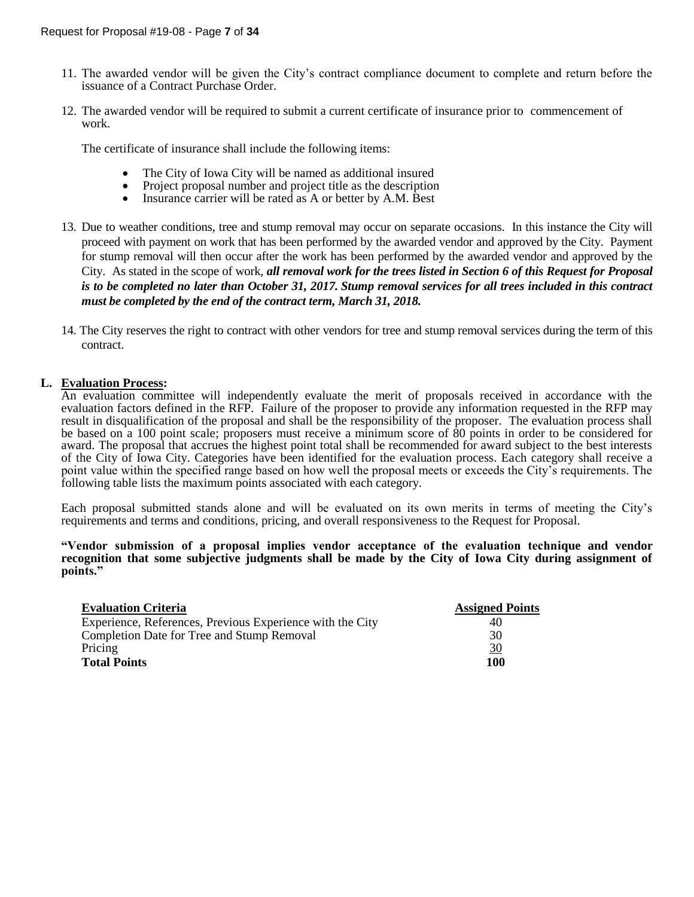- 11. The awarded vendor will be given the City's contract compliance document to complete and return before the issuance of a Contract Purchase Order.
- 12. The awarded vendor will be required to submit a current certificate of insurance prior to commencement of work.

The certificate of insurance shall include the following items:

- The City of Iowa City will be named as additional insured
- Project proposal number and project title as the description<br>• Insurance carrier will be rated as  $\Delta$  or better by  $\Delta M$ . Best
- Insurance carrier will be rated as A or better by A.M. Best
- 13. Due to weather conditions, tree and stump removal may occur on separate occasions. In this instance the City will proceed with payment on work that has been performed by the awarded vendor and approved by the City. Payment for stump removal will then occur after the work has been performed by the awarded vendor and approved by the City. As stated in the scope of work, *all removal work for the trees listed in Section 6 of this Request for Proposal is to be completed no later than October 31, 2017. Stump removal services for all trees included in this contract must be completed by the end of the contract term, March 31, 2018.*
- 14. The City reserves the right to contract with other vendors for tree and stump removal services during the term of this contract.

#### **L. Evaluation Process:**

An evaluation committee will independently evaluate the merit of proposals received in accordance with the evaluation factors defined in the RFP. Failure of the proposer to provide any information requested in the RFP may result in disqualification of the proposal and shall be the responsibility of the proposer. The evaluation process shall be based on a 100 point scale; proposers must receive a minimum score of 80 points in order to be considered for award. The proposal that accrues the highest point total shall be recommended for award subject to the best interests of the City of Iowa City. Categories have been identified for the evaluation process. Each category shall receive a point value within the specified range based on how well the proposal meets or exceeds the City's requirements. The following table lists the maximum points associated with each category.

Each proposal submitted stands alone and will be evaluated on its own merits in terms of meeting the City's requirements and terms and conditions, pricing, and overall responsiveness to the Request for Proposal.

#### **"Vendor submission of a proposal implies vendor acceptance of the evaluation technique and vendor recognition that some subjective judgments shall be made by the City of Iowa City during assignment of points."**

| <b>Evaluation Criteria</b>                                | <b>Assigned Points</b> |
|-----------------------------------------------------------|------------------------|
| Experience, References, Previous Experience with the City | 40                     |
| Completion Date for Tree and Stump Removal                | 30                     |
| Pricing                                                   | $\frac{30}{5}$         |
| <b>Total Points</b>                                       | 100                    |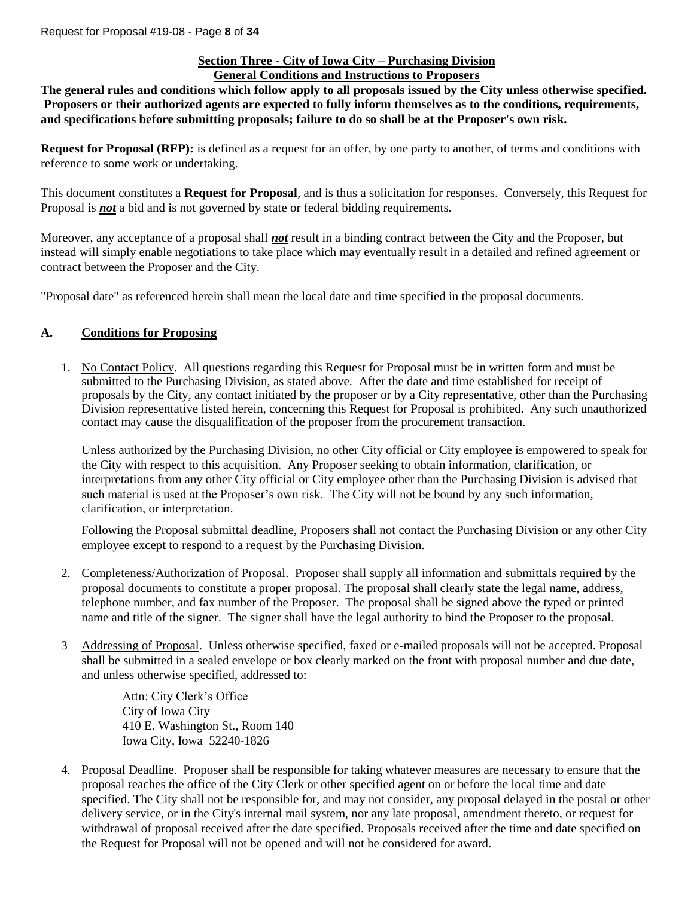#### **Section Three - City of Iowa City – Purchasing Division General Conditions and Instructions to Proposers**

**The general rules and conditions which follow apply to all proposals issued by the City unless otherwise specified. Proposers or their authorized agents are expected to fully inform themselves as to the conditions, requirements, and specifications before submitting proposals; failure to do so shall be at the Proposer's own risk.**

**Request for Proposal (RFP):** is defined as a request for an offer, by one party to another, of terms and conditions with reference to some work or undertaking.

This document constitutes a **Request for Proposal**, and is thus a solicitation for responses. Conversely, this Request for Proposal is *not* a bid and is not governed by state or federal bidding requirements.

Moreover, any acceptance of a proposal shall *not* result in a binding contract between the City and the Proposer, but instead will simply enable negotiations to take place which may eventually result in a detailed and refined agreement or contract between the Proposer and the City.

"Proposal date" as referenced herein shall mean the local date and time specified in the proposal documents.

## **A. Conditions for Proposing**

1. No Contact Policy. All questions regarding this Request for Proposal must be in written form and must be submitted to the Purchasing Division, as stated above. After the date and time established for receipt of proposals by the City, any contact initiated by the proposer or by a City representative, other than the Purchasing Division representative listed herein, concerning this Request for Proposal is prohibited. Any such unauthorized contact may cause the disqualification of the proposer from the procurement transaction.

Unless authorized by the Purchasing Division, no other City official or City employee is empowered to speak for the City with respect to this acquisition. Any Proposer seeking to obtain information, clarification, or interpretations from any other City official or City employee other than the Purchasing Division is advised that such material is used at the Proposer's own risk. The City will not be bound by any such information, clarification, or interpretation.

Following the Proposal submittal deadline, Proposers shall not contact the Purchasing Division or any other City employee except to respond to a request by the Purchasing Division.

- 2. Completeness/Authorization of Proposal. Proposer shall supply all information and submittals required by the proposal documents to constitute a proper proposal. The proposal shall clearly state the legal name, address, telephone number, and fax number of the Proposer. The proposal shall be signed above the typed or printed name and title of the signer. The signer shall have the legal authority to bind the Proposer to the proposal.
- 3 Addressing of Proposal. Unless otherwise specified, faxed or e-mailed proposals will not be accepted. Proposal shall be submitted in a sealed envelope or box clearly marked on the front with proposal number and due date, and unless otherwise specified, addressed to:

Attn: City Clerk's Office City of Iowa City 410 E. Washington St., Room 140 Iowa City, Iowa 52240-1826

4. Proposal Deadline. Proposer shall be responsible for taking whatever measures are necessary to ensure that the proposal reaches the office of the City Clerk or other specified agent on or before the local time and date specified. The City shall not be responsible for, and may not consider, any proposal delayed in the postal or other delivery service, or in the City's internal mail system, nor any late proposal, amendment thereto, or request for withdrawal of proposal received after the date specified. Proposals received after the time and date specified on the Request for Proposal will not be opened and will not be considered for award.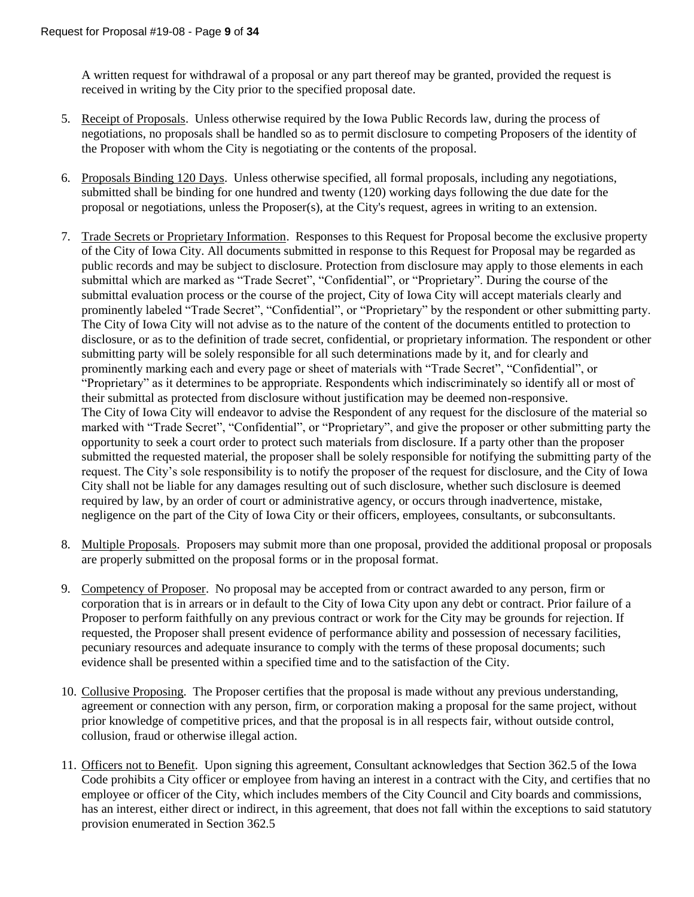A written request for withdrawal of a proposal or any part thereof may be granted, provided the request is received in writing by the City prior to the specified proposal date.

- 5. Receipt of Proposals. Unless otherwise required by the Iowa Public Records law, during the process of negotiations, no proposals shall be handled so as to permit disclosure to competing Proposers of the identity of the Proposer with whom the City is negotiating or the contents of the proposal.
- 6. Proposals Binding 120 Days. Unless otherwise specified, all formal proposals, including any negotiations, submitted shall be binding for one hundred and twenty (120) working days following the due date for the proposal or negotiations, unless the Proposer(s), at the City's request, agrees in writing to an extension.
- 7. Trade Secrets or Proprietary Information. Responses to this Request for Proposal become the exclusive property of the City of Iowa City. All documents submitted in response to this Request for Proposal may be regarded as public records and may be subject to disclosure. Protection from disclosure may apply to those elements in each submittal which are marked as "Trade Secret", "Confidential", or "Proprietary". During the course of the submittal evaluation process or the course of the project, City of Iowa City will accept materials clearly and prominently labeled "Trade Secret", "Confidential", or "Proprietary" by the respondent or other submitting party. The City of Iowa City will not advise as to the nature of the content of the documents entitled to protection to disclosure, or as to the definition of trade secret, confidential, or proprietary information. The respondent or other submitting party will be solely responsible for all such determinations made by it, and for clearly and prominently marking each and every page or sheet of materials with "Trade Secret", "Confidential", or "Proprietary" as it determines to be appropriate. Respondents which indiscriminately so identify all or most of their submittal as protected from disclosure without justification may be deemed non-responsive. The City of Iowa City will endeavor to advise the Respondent of any request for the disclosure of the material so marked with "Trade Secret", "Confidential", or "Proprietary", and give the proposer or other submitting party the opportunity to seek a court order to protect such materials from disclosure. If a party other than the proposer submitted the requested material, the proposer shall be solely responsible for notifying the submitting party of the request. The City's sole responsibility is to notify the proposer of the request for disclosure, and the City of Iowa City shall not be liable for any damages resulting out of such disclosure, whether such disclosure is deemed required by law, by an order of court or administrative agency, or occurs through inadvertence, mistake, negligence on the part of the City of Iowa City or their officers, employees, consultants, or subconsultants.
- 8. Multiple Proposals. Proposers may submit more than one proposal, provided the additional proposal or proposals are properly submitted on the proposal forms or in the proposal format.
- 9. Competency of Proposer. No proposal may be accepted from or contract awarded to any person, firm or corporation that is in arrears or in default to the City of Iowa City upon any debt or contract. Prior failure of a Proposer to perform faithfully on any previous contract or work for the City may be grounds for rejection. If requested, the Proposer shall present evidence of performance ability and possession of necessary facilities, pecuniary resources and adequate insurance to comply with the terms of these proposal documents; such evidence shall be presented within a specified time and to the satisfaction of the City.
- 10. Collusive Proposing. The Proposer certifies that the proposal is made without any previous understanding, agreement or connection with any person, firm, or corporation making a proposal for the same project, without prior knowledge of competitive prices, and that the proposal is in all respects fair, without outside control, collusion, fraud or otherwise illegal action.
- 11. Officers not to Benefit. Upon signing this agreement, Consultant acknowledges that Section 362.5 of the Iowa Code prohibits a City officer or employee from having an interest in a contract with the City, and certifies that no employee or officer of the City, which includes members of the City Council and City boards and commissions, has an interest, either direct or indirect, in this agreement, that does not fall within the exceptions to said statutory provision enumerated in Section 362.5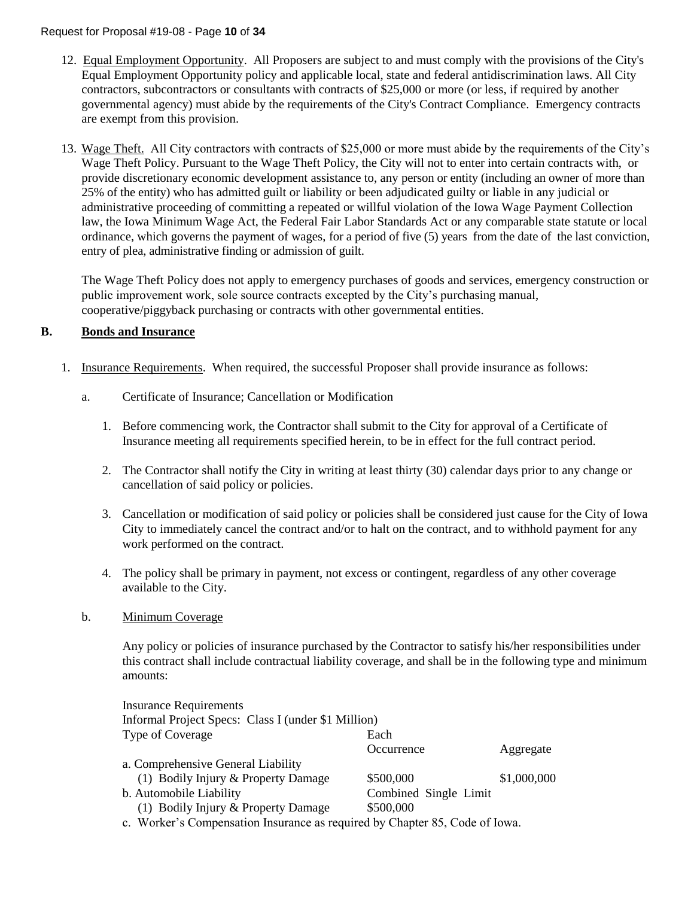#### Request for Proposal #19-08 - Page **10** of **34**

- 12. Equal Employment Opportunity. All Proposers are subject to and must comply with the provisions of the City's Equal Employment Opportunity policy and applicable local, state and federal antidiscrimination laws. All City contractors, subcontractors or consultants with contracts of \$25,000 or more (or less, if required by another governmental agency) must abide by the requirements of the City's Contract Compliance. Emergency contracts are exempt from this provision.
- 13. Wage Theft. All City contractors with contracts of \$25,000 or more must abide by the requirements of the City's Wage Theft Policy. Pursuant to the Wage Theft Policy, the City will not to enter into certain contracts with, or provide discretionary economic development assistance to, any person or entity (including an owner of more than 25% of the entity) who has admitted guilt or liability or been adjudicated guilty or liable in any judicial or administrative proceeding of committing a repeated or willful violation of the Iowa Wage Payment Collection law, the Iowa Minimum Wage Act, the Federal Fair Labor Standards Act or any comparable state statute or local ordinance, which governs the payment of wages, for a period of five (5) years from the date of the last conviction, entry of plea, administrative finding or admission of guilt.

The Wage Theft Policy does not apply to emergency purchases of goods and services, emergency construction or public improvement work, sole source contracts excepted by the City's purchasing manual, cooperative/piggyback purchasing or contracts with other governmental entities.

#### **B. Bonds and Insurance**

- 1. Insurance Requirements. When required, the successful Proposer shall provide insurance as follows:
	- a. Certificate of Insurance; Cancellation or Modification
		- 1. Before commencing work, the Contractor shall submit to the City for approval of a Certificate of Insurance meeting all requirements specified herein, to be in effect for the full contract period.
		- 2. The Contractor shall notify the City in writing at least thirty (30) calendar days prior to any change or cancellation of said policy or policies.
		- 3. Cancellation or modification of said policy or policies shall be considered just cause for the City of Iowa City to immediately cancel the contract and/or to halt on the contract, and to withhold payment for any work performed on the contract.
		- 4. The policy shall be primary in payment, not excess or contingent, regardless of any other coverage available to the City.
	- b. Minimum Coverage

Any policy or policies of insurance purchased by the Contractor to satisfy his/her responsibilities under this contract shall include contractual liability coverage, and shall be in the following type and minimum amounts:

| <b>Insurance Requirements</b>                                               |                       |             |
|-----------------------------------------------------------------------------|-----------------------|-------------|
| Informal Project Specs: Class I (under \$1 Million)                         |                       |             |
| Type of Coverage                                                            | Each                  |             |
|                                                                             | Occurrence            | Aggregate   |
| a. Comprehensive General Liability                                          |                       |             |
| (1) Bodily Injury & Property Damage                                         | \$500,000             | \$1,000,000 |
| b. Automobile Liability                                                     | Combined Single Limit |             |
| (1) Bodily Injury & Property Damage                                         | \$500,000             |             |
| c. Worker's Compensation Insurance as required by Chapter 85, Code of Iowa. |                       |             |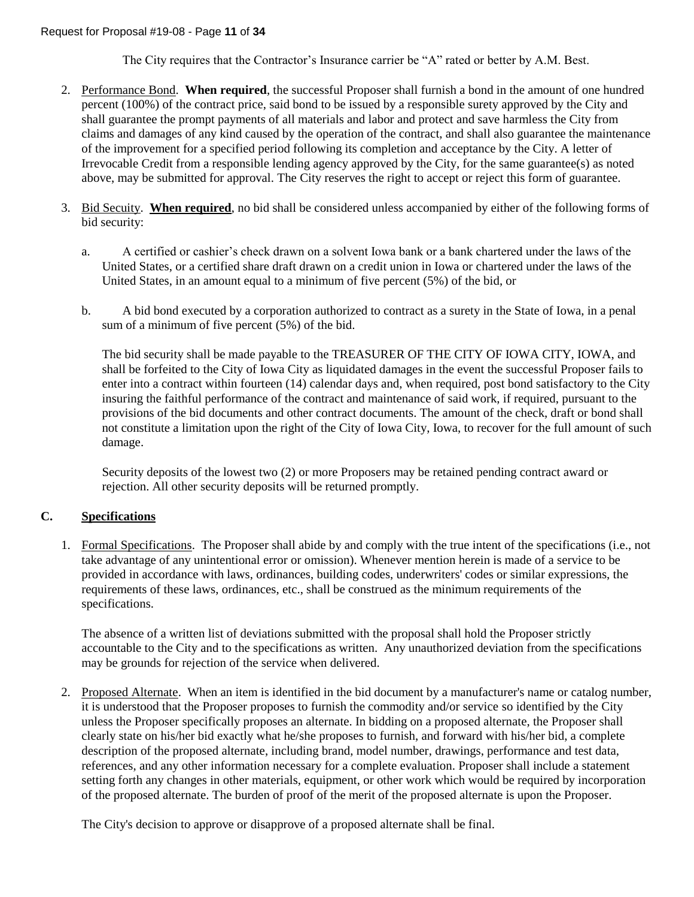The City requires that the Contractor's Insurance carrier be "A" rated or better by A.M. Best.

- 2. Performance Bond. **When required**, the successful Proposer shall furnish a bond in the amount of one hundred percent (100%) of the contract price, said bond to be issued by a responsible surety approved by the City and shall guarantee the prompt payments of all materials and labor and protect and save harmless the City from claims and damages of any kind caused by the operation of the contract, and shall also guarantee the maintenance of the improvement for a specified period following its completion and acceptance by the City. A letter of Irrevocable Credit from a responsible lending agency approved by the City, for the same guarantee(s) as noted above, may be submitted for approval. The City reserves the right to accept or reject this form of guarantee.
- 3. Bid Secuity. **When required**, no bid shall be considered unless accompanied by either of the following forms of bid security:
	- a. A certified or cashier's check drawn on a solvent Iowa bank or a bank chartered under the laws of the United States, or a certified share draft drawn on a credit union in Iowa or chartered under the laws of the United States, in an amount equal to a minimum of five percent (5%) of the bid, or
	- b. A bid bond executed by a corporation authorized to contract as a surety in the State of Iowa, in a penal sum of a minimum of five percent (5%) of the bid.

The bid security shall be made payable to the TREASURER OF THE CITY OF IOWA CITY, IOWA, and shall be forfeited to the City of Iowa City as liquidated damages in the event the successful Proposer fails to enter into a contract within fourteen (14) calendar days and, when required, post bond satisfactory to the City insuring the faithful performance of the contract and maintenance of said work, if required, pursuant to the provisions of the bid documents and other contract documents. The amount of the check, draft or bond shall not constitute a limitation upon the right of the City of Iowa City, Iowa, to recover for the full amount of such damage.

Security deposits of the lowest two (2) or more Proposers may be retained pending contract award or rejection. All other security deposits will be returned promptly.

## **C. Specifications**

1. Formal Specifications. The Proposer shall abide by and comply with the true intent of the specifications (i.e., not take advantage of any unintentional error or omission). Whenever mention herein is made of a service to be provided in accordance with laws, ordinances, building codes, underwriters' codes or similar expressions, the requirements of these laws, ordinances, etc., shall be construed as the minimum requirements of the specifications.

The absence of a written list of deviations submitted with the proposal shall hold the Proposer strictly accountable to the City and to the specifications as written. Any unauthorized deviation from the specifications may be grounds for rejection of the service when delivered.

2. Proposed Alternate. When an item is identified in the bid document by a manufacturer's name or catalog number, it is understood that the Proposer proposes to furnish the commodity and/or service so identified by the City unless the Proposer specifically proposes an alternate. In bidding on a proposed alternate, the Proposer shall clearly state on his/her bid exactly what he/she proposes to furnish, and forward with his/her bid, a complete description of the proposed alternate, including brand, model number, drawings, performance and test data, references, and any other information necessary for a complete evaluation. Proposer shall include a statement setting forth any changes in other materials, equipment, or other work which would be required by incorporation of the proposed alternate. The burden of proof of the merit of the proposed alternate is upon the Proposer.

The City's decision to approve or disapprove of a proposed alternate shall be final.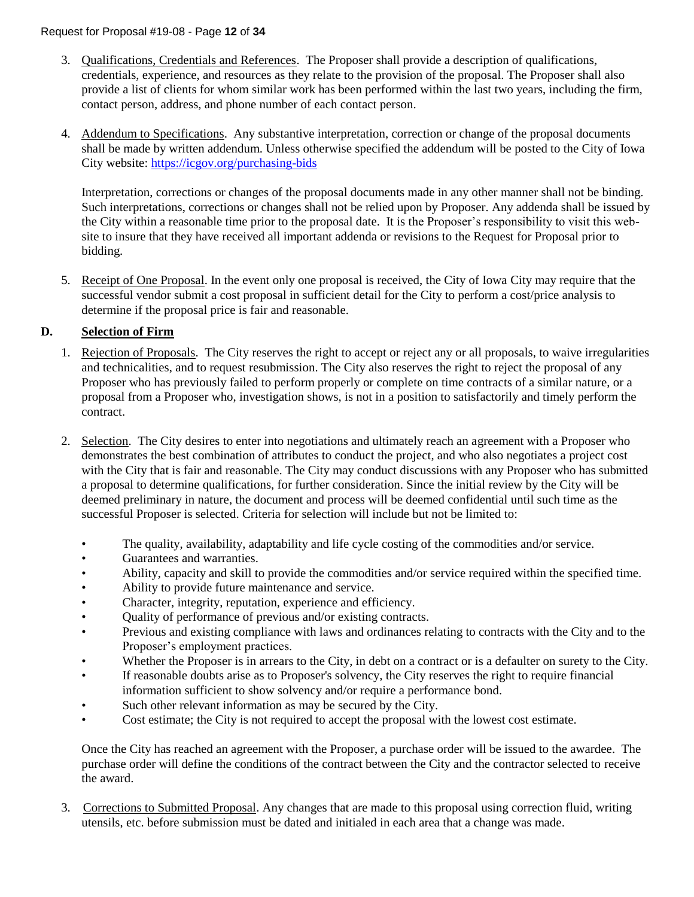- 3. Qualifications, Credentials and References. The Proposer shall provide a description of qualifications, credentials, experience, and resources as they relate to the provision of the proposal. The Proposer shall also provide a list of clients for whom similar work has been performed within the last two years, including the firm, contact person, address, and phone number of each contact person.
- 4. Addendum to Specifications. Any substantive interpretation, correction or change of the proposal documents shall be made by written addendum. Unless otherwise specified the addendum will be posted to the City of Iowa City website:<https://icgov.org/purchasing-bids>

Interpretation, corrections or changes of the proposal documents made in any other manner shall not be binding. Such interpretations, corrections or changes shall not be relied upon by Proposer. Any addenda shall be issued by the City within a reasonable time prior to the proposal date. It is the Proposer's responsibility to visit this website to insure that they have received all important addenda or revisions to the Request for Proposal prior to bidding.

5. Receipt of One Proposal. In the event only one proposal is received, the City of Iowa City may require that the successful vendor submit a cost proposal in sufficient detail for the City to perform a cost/price analysis to determine if the proposal price is fair and reasonable.

# **D. Selection of Firm**

- 1. Rejection of Proposals. The City reserves the right to accept or reject any or all proposals, to waive irregularities and technicalities, and to request resubmission. The City also reserves the right to reject the proposal of any Proposer who has previously failed to perform properly or complete on time contracts of a similar nature, or a proposal from a Proposer who, investigation shows, is not in a position to satisfactorily and timely perform the contract.
- 2. Selection. The City desires to enter into negotiations and ultimately reach an agreement with a Proposer who demonstrates the best combination of attributes to conduct the project, and who also negotiates a project cost with the City that is fair and reasonable. The City may conduct discussions with any Proposer who has submitted a proposal to determine qualifications, for further consideration. Since the initial review by the City will be deemed preliminary in nature, the document and process will be deemed confidential until such time as the successful Proposer is selected. Criteria for selection will include but not be limited to:
	- The quality, availability, adaptability and life cycle costing of the commodities and/or service.
	- Guarantees and warranties.
	- Ability, capacity and skill to provide the commodities and/or service required within the specified time.
	- Ability to provide future maintenance and service.
	- Character, integrity, reputation, experience and efficiency.
	- Quality of performance of previous and/or existing contracts.
	- Previous and existing compliance with laws and ordinances relating to contracts with the City and to the Proposer's employment practices.
	- Whether the Proposer is in arrears to the City, in debt on a contract or is a defaulter on surety to the City.
	- If reasonable doubts arise as to Proposer's solvency, the City reserves the right to require financial information sufficient to show solvency and/or require a performance bond.
	- Such other relevant information as may be secured by the City.
	- Cost estimate; the City is not required to accept the proposal with the lowest cost estimate.

Once the City has reached an agreement with the Proposer, a purchase order will be issued to the awardee. The purchase order will define the conditions of the contract between the City and the contractor selected to receive the award.

3. Corrections to Submitted Proposal. Any changes that are made to this proposal using correction fluid, writing utensils, etc. before submission must be dated and initialed in each area that a change was made.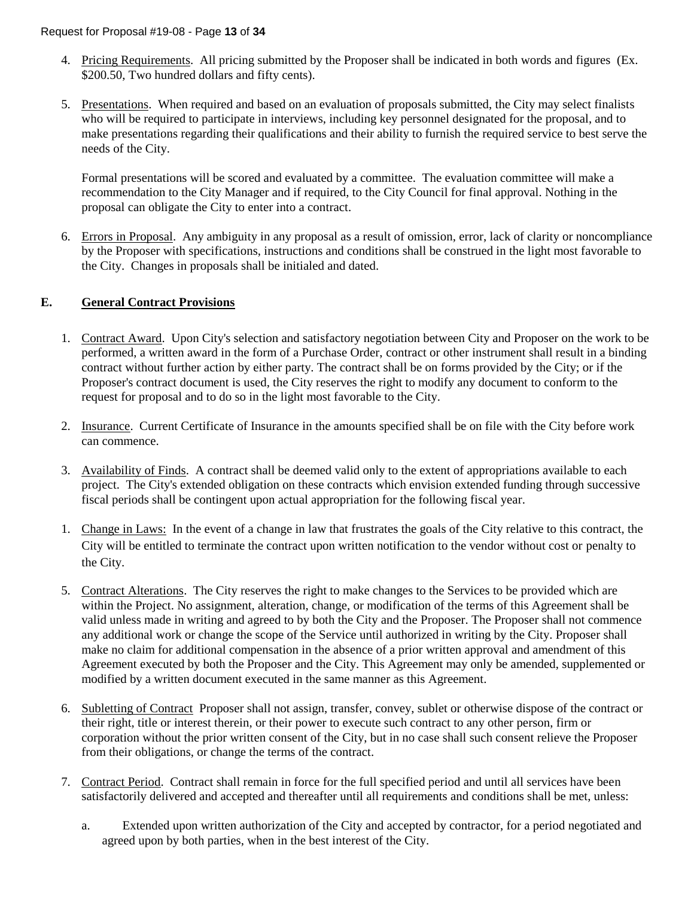- 4. Pricing Requirements. All pricing submitted by the Proposer shall be indicated in both words and figures (Ex. \$200.50, Two hundred dollars and fifty cents).
- 5. Presentations. When required and based on an evaluation of proposals submitted, the City may select finalists who will be required to participate in interviews, including key personnel designated for the proposal, and to make presentations regarding their qualifications and their ability to furnish the required service to best serve the needs of the City.

Formal presentations will be scored and evaluated by a committee. The evaluation committee will make a recommendation to the City Manager and if required, to the City Council for final approval. Nothing in the proposal can obligate the City to enter into a contract.

6. Errors in Proposal. Any ambiguity in any proposal as a result of omission, error, lack of clarity or noncompliance by the Proposer with specifications, instructions and conditions shall be construed in the light most favorable to the City. Changes in proposals shall be initialed and dated.

## **E. General Contract Provisions**

- 1. Contract Award. Upon City's selection and satisfactory negotiation between City and Proposer on the work to be performed, a written award in the form of a Purchase Order, contract or other instrument shall result in a binding contract without further action by either party. The contract shall be on forms provided by the City; or if the Proposer's contract document is used, the City reserves the right to modify any document to conform to the request for proposal and to do so in the light most favorable to the City.
- 2. Insurance. Current Certificate of Insurance in the amounts specified shall be on file with the City before work can commence.
- 3. Availability of Finds. A contract shall be deemed valid only to the extent of appropriations available to each project. The City's extended obligation on these contracts which envision extended funding through successive fiscal periods shall be contingent upon actual appropriation for the following fiscal year.
- 1. Change in Laws: In the event of a change in law that frustrates the goals of the City relative to this contract, the City will be entitled to terminate the contract upon written notification to the vendor without cost or penalty to the City.
- 5. Contract Alterations. The City reserves the right to make changes to the Services to be provided which are within the Project. No assignment, alteration, change, or modification of the terms of this Agreement shall be valid unless made in writing and agreed to by both the City and the Proposer. The Proposer shall not commence any additional work or change the scope of the Service until authorized in writing by the City. Proposer shall make no claim for additional compensation in the absence of a prior written approval and amendment of this Agreement executed by both the Proposer and the City. This Agreement may only be amended, supplemented or modified by a written document executed in the same manner as this Agreement.
- 6. Subletting of Contract Proposer shall not assign, transfer, convey, sublet or otherwise dispose of the contract or their right, title or interest therein, or their power to execute such contract to any other person, firm or corporation without the prior written consent of the City, but in no case shall such consent relieve the Proposer from their obligations, or change the terms of the contract.
- 7. Contract Period. Contract shall remain in force for the full specified period and until all services have been satisfactorily delivered and accepted and thereafter until all requirements and conditions shall be met, unless:
	- a. Extended upon written authorization of the City and accepted by contractor, for a period negotiated and agreed upon by both parties, when in the best interest of the City.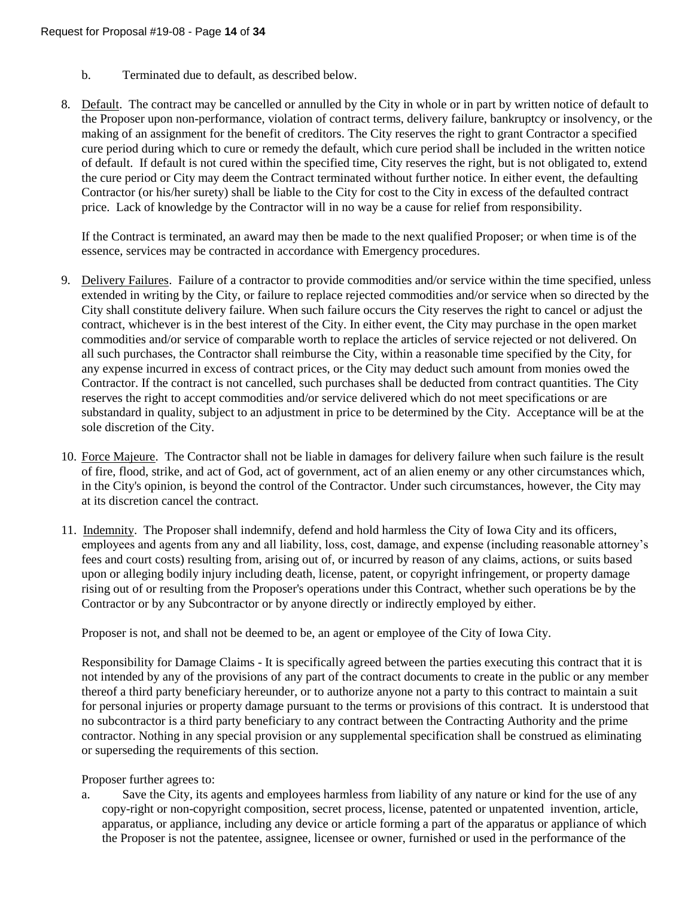- b. Terminated due to default, as described below.
- 8. Default. The contract may be cancelled or annulled by the City in whole or in part by written notice of default to the Proposer upon non-performance, violation of contract terms, delivery failure, bankruptcy or insolvency, or the making of an assignment for the benefit of creditors. The City reserves the right to grant Contractor a specified cure period during which to cure or remedy the default, which cure period shall be included in the written notice of default. If default is not cured within the specified time, City reserves the right, but is not obligated to, extend the cure period or City may deem the Contract terminated without further notice. In either event, the defaulting Contractor (or his/her surety) shall be liable to the City for cost to the City in excess of the defaulted contract price. Lack of knowledge by the Contractor will in no way be a cause for relief from responsibility.

If the Contract is terminated, an award may then be made to the next qualified Proposer; or when time is of the essence, services may be contracted in accordance with Emergency procedures.

- 9. Delivery Failures. Failure of a contractor to provide commodities and/or service within the time specified, unless extended in writing by the City, or failure to replace rejected commodities and/or service when so directed by the City shall constitute delivery failure. When such failure occurs the City reserves the right to cancel or adjust the contract, whichever is in the best interest of the City. In either event, the City may purchase in the open market commodities and/or service of comparable worth to replace the articles of service rejected or not delivered. On all such purchases, the Contractor shall reimburse the City, within a reasonable time specified by the City, for any expense incurred in excess of contract prices, or the City may deduct such amount from monies owed the Contractor. If the contract is not cancelled, such purchases shall be deducted from contract quantities. The City reserves the right to accept commodities and/or service delivered which do not meet specifications or are substandard in quality, subject to an adjustment in price to be determined by the City. Acceptance will be at the sole discretion of the City.
- 10. Force Majeure. The Contractor shall not be liable in damages for delivery failure when such failure is the result of fire, flood, strike, and act of God, act of government, act of an alien enemy or any other circumstances which, in the City's opinion, is beyond the control of the Contractor. Under such circumstances, however, the City may at its discretion cancel the contract.
- 11. Indemnity. The Proposer shall indemnify, defend and hold harmless the City of Iowa City and its officers, employees and agents from any and all liability, loss, cost, damage, and expense (including reasonable attorney's fees and court costs) resulting from, arising out of, or incurred by reason of any claims, actions, or suits based upon or alleging bodily injury including death, license, patent, or copyright infringement, or property damage rising out of or resulting from the Proposer's operations under this Contract, whether such operations be by the Contractor or by any Subcontractor or by anyone directly or indirectly employed by either.

Proposer is not, and shall not be deemed to be, an agent or employee of the City of Iowa City.

Responsibility for Damage Claims - It is specifically agreed between the parties executing this contract that it is not intended by any of the provisions of any part of the contract documents to create in the public or any member thereof a third party beneficiary hereunder, or to authorize anyone not a party to this contract to maintain a suit for personal injuries or property damage pursuant to the terms or provisions of this contract. It is understood that no subcontractor is a third party beneficiary to any contract between the Contracting Authority and the prime contractor. Nothing in any special provision or any supplemental specification shall be construed as eliminating or superseding the requirements of this section.

Proposer further agrees to:

a. Save the City, its agents and employees harmless from liability of any nature or kind for the use of any copy-right or non-copyright composition, secret process, license, patented or unpatented invention, article, apparatus, or appliance, including any device or article forming a part of the apparatus or appliance of which the Proposer is not the patentee, assignee, licensee or owner, furnished or used in the performance of the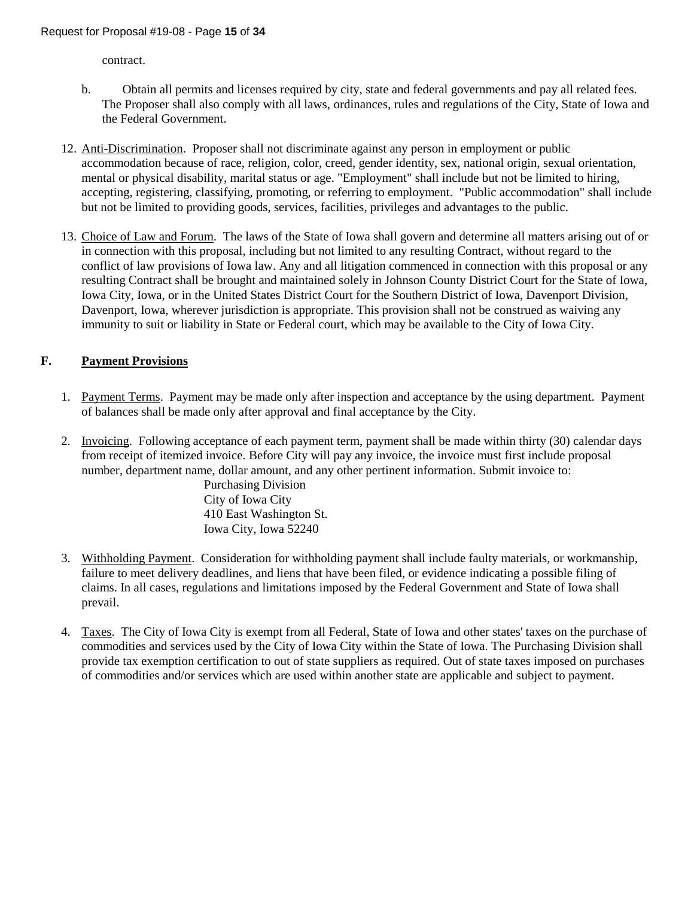contract.

- b. Obtain all permits and licenses required by city, state and federal governments and pay all related fees. The Proposer shall also comply with all laws, ordinances, rules and regulations of the City, State of Iowa and the Federal Government.
- 12. Anti-Discrimination. Proposer shall not discriminate against any person in employment or public accommodation because of race, religion, color, creed, gender identity, sex, national origin, sexual orientation, mental or physical disability, marital status or age. "Employment" shall include but not be limited to hiring, accepting, registering, classifying, promoting, or referring to employment. "Public accommodation" shall include but not be limited to providing goods, services, facilities, privileges and advantages to the public.
- 13. Choice of Law and Forum.The laws of the State of Iowa shall govern and determine all matters arising out of or in connection with this proposal, including but not limited to any resulting Contract, without regard to the conflict of law provisions of Iowa law. Any and all litigation commenced in connection with this proposal or any resulting Contract shall be brought and maintained solely in Johnson County District Court for the State of Iowa, Iowa City, Iowa, or in the United States District Court for the Southern District of Iowa, Davenport Division, Davenport, Iowa, wherever jurisdiction is appropriate. This provision shall not be construed as waiving any immunity to suit or liability in State or Federal court, which may be available to the City of Iowa City.

## **F. Payment Provisions**

- 1. Payment Terms. Payment may be made only after inspection and acceptance by the using department. Payment of balances shall be made only after approval and final acceptance by the City.
- 2. Invoicing. Following acceptance of each payment term, payment shall be made within thirty (30) calendar days from receipt of itemized invoice. Before City will pay any invoice, the invoice must first include proposal number, department name, dollar amount, and any other pertinent information. Submit invoice to:

Purchasing Division City of Iowa City 410 East Washington St. Iowa City, Iowa 52240

- 3. Withholding Payment. Consideration for withholding payment shall include faulty materials, or workmanship, failure to meet delivery deadlines, and liens that have been filed, or evidence indicating a possible filing of claims. In all cases, regulations and limitations imposed by the Federal Government and State of Iowa shall prevail.
- 4. Taxes. The City of Iowa City is exempt from all Federal, State of Iowa and other states' taxes on the purchase of commodities and services used by the City of Iowa City within the State of Iowa. The Purchasing Division shall provide tax exemption certification to out of state suppliers as required. Out of state taxes imposed on purchases of commodities and/or services which are used within another state are applicable and subject to payment.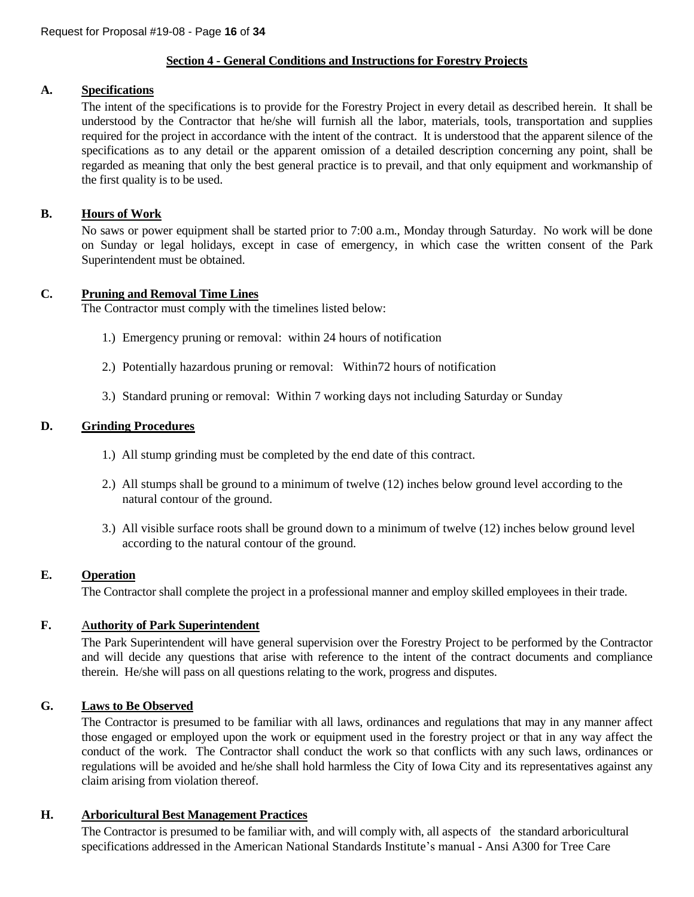#### **Section 4 - General Conditions and Instructions for Forestry Projects**

## **A. Specifications**

The intent of the specifications is to provide for the Forestry Project in every detail as described herein. It shall be understood by the Contractor that he/she will furnish all the labor, materials, tools, transportation and supplies required for the project in accordance with the intent of the contract. It is understood that the apparent silence of the specifications as to any detail or the apparent omission of a detailed description concerning any point, shall be regarded as meaning that only the best general practice is to prevail, and that only equipment and workmanship of the first quality is to be used.

#### **B. Hours of Work**

No saws or power equipment shall be started prior to 7:00 a.m., Monday through Saturday. No work will be done on Sunday or legal holidays, except in case of emergency, in which case the written consent of the Park Superintendent must be obtained.

#### **C. Pruning and Removal Time Lines**

The Contractor must comply with the timelines listed below:

- 1.) Emergency pruning or removal: within 24 hours of notification
- 2.) Potentially hazardous pruning or removal: Within72 hours of notification
- 3.) Standard pruning or removal: Within 7 working days not including Saturday or Sunday

#### **D. Grinding Procedures**

- 1.) All stump grinding must be completed by the end date of this contract.
- 2.) All stumps shall be ground to a minimum of twelve (12) inches below ground level according to the natural contour of the ground.
- 3.) All visible surface roots shall be ground down to a minimum of twelve (12) inches below ground level according to the natural contour of the ground.

#### **E. Operation**

The Contractor shall complete the project in a professional manner and employ skilled employees in their trade.

## **F.** A**uthority of Park Superintendent**

The Park Superintendent will have general supervision over the Forestry Project to be performed by the Contractor and will decide any questions that arise with reference to the intent of the contract documents and compliance therein. He/she will pass on all questions relating to the work, progress and disputes.

## **G. Laws to Be Observed**

The Contractor is presumed to be familiar with all laws, ordinances and regulations that may in any manner affect those engaged or employed upon the work or equipment used in the forestry project or that in any way affect the conduct of the work. The Contractor shall conduct the work so that conflicts with any such laws, ordinances or regulations will be avoided and he/she shall hold harmless the City of Iowa City and its representatives against any claim arising from violation thereof.

#### **H. Arboricultural Best Management Practices**

The Contractor is presumed to be familiar with, and will comply with, all aspects of the standard arboricultural specifications addressed in the American National Standards Institute's manual - Ansi A300 for Tree Care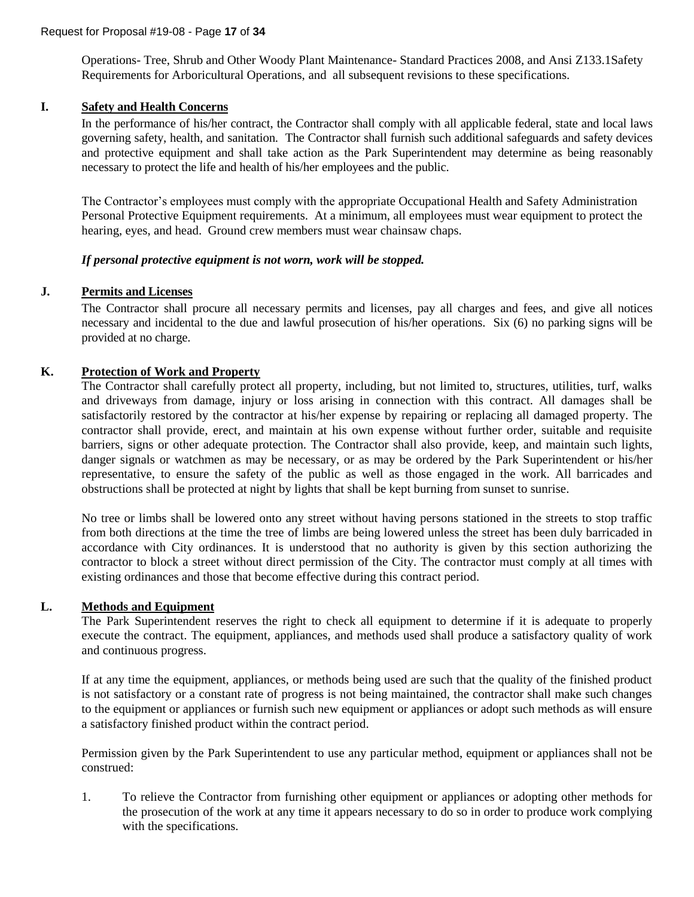Operations- Tree, Shrub and Other Woody Plant Maintenance- Standard Practices 2008, and Ansi Z133.1Safety Requirements for Arboricultural Operations, and all subsequent revisions to these specifications.

## **I. Safety and Health Concerns**

In the performance of his/her contract, the Contractor shall comply with all applicable federal, state and local laws governing safety, health, and sanitation. The Contractor shall furnish such additional safeguards and safety devices and protective equipment and shall take action as the Park Superintendent may determine as being reasonably necessary to protect the life and health of his/her employees and the public.

The Contractor's employees must comply with the appropriate Occupational Health and Safety Administration Personal Protective Equipment requirements. At a minimum, all employees must wear equipment to protect the hearing, eyes, and head. Ground crew members must wear chainsaw chaps.

#### *If personal protective equipment is not worn, work will be stopped.*

#### **J. Permits and Licenses**

The Contractor shall procure all necessary permits and licenses, pay all charges and fees, and give all notices necessary and incidental to the due and lawful prosecution of his/her operations. Six (6) no parking signs will be provided at no charge.

#### **K. Protection of Work and Property**

The Contractor shall carefully protect all property, including, but not limited to, structures, utilities, turf, walks and driveways from damage, injury or loss arising in connection with this contract. All damages shall be satisfactorily restored by the contractor at his/her expense by repairing or replacing all damaged property. The contractor shall provide, erect, and maintain at his own expense without further order, suitable and requisite barriers, signs or other adequate protection. The Contractor shall also provide, keep, and maintain such lights, danger signals or watchmen as may be necessary, or as may be ordered by the Park Superintendent or his/her representative, to ensure the safety of the public as well as those engaged in the work. All barricades and obstructions shall be protected at night by lights that shall be kept burning from sunset to sunrise.

No tree or limbs shall be lowered onto any street without having persons stationed in the streets to stop traffic from both directions at the time the tree of limbs are being lowered unless the street has been duly barricaded in accordance with City ordinances. It is understood that no authority is given by this section authorizing the contractor to block a street without direct permission of the City. The contractor must comply at all times with existing ordinances and those that become effective during this contract period.

#### **L. Methods and Equipment**

The Park Superintendent reserves the right to check all equipment to determine if it is adequate to properly execute the contract. The equipment, appliances, and methods used shall produce a satisfactory quality of work and continuous progress.

If at any time the equipment, appliances, or methods being used are such that the quality of the finished product is not satisfactory or a constant rate of progress is not being maintained, the contractor shall make such changes to the equipment or appliances or furnish such new equipment or appliances or adopt such methods as will ensure a satisfactory finished product within the contract period.

Permission given by the Park Superintendent to use any particular method, equipment or appliances shall not be construed:

1. To relieve the Contractor from furnishing other equipment or appliances or adopting other methods for the prosecution of the work at any time it appears necessary to do so in order to produce work complying with the specifications.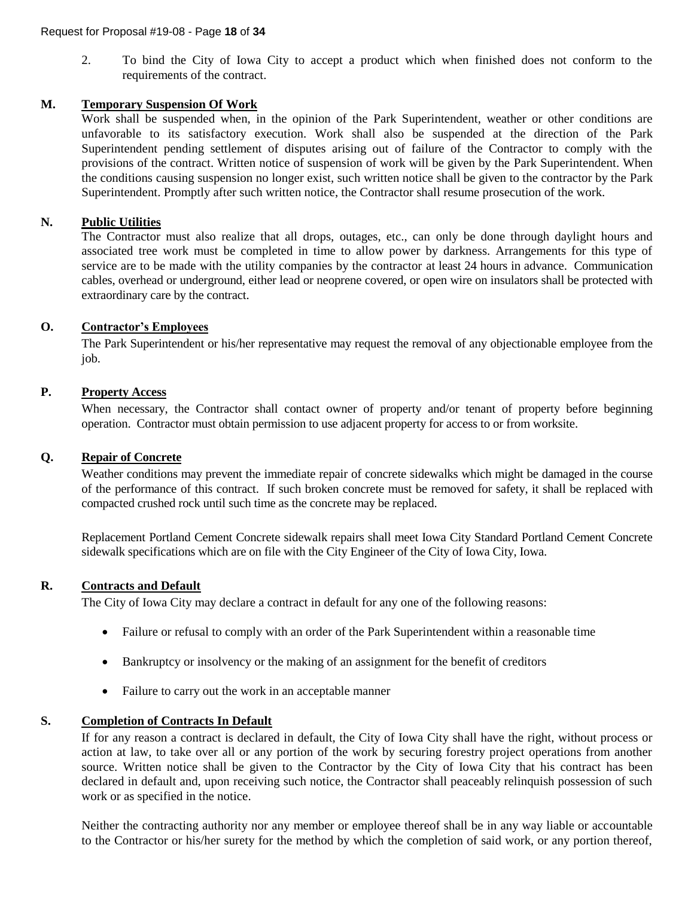2. To bind the City of Iowa City to accept a product which when finished does not conform to the requirements of the contract.

#### **M. Temporary Suspension Of Work**

Work shall be suspended when, in the opinion of the Park Superintendent, weather or other conditions are unfavorable to its satisfactory execution. Work shall also be suspended at the direction of the Park Superintendent pending settlement of disputes arising out of failure of the Contractor to comply with the provisions of the contract. Written notice of suspension of work will be given by the Park Superintendent. When the conditions causing suspension no longer exist, such written notice shall be given to the contractor by the Park Superintendent. Promptly after such written notice, the Contractor shall resume prosecution of the work.

#### **N. Public Utilities**

The Contractor must also realize that all drops, outages, etc., can only be done through daylight hours and associated tree work must be completed in time to allow power by darkness. Arrangements for this type of service are to be made with the utility companies by the contractor at least 24 hours in advance. Communication cables, overhead or underground, either lead or neoprene covered, or open wire on insulators shall be protected with extraordinary care by the contract.

#### **O. Contractor's Employees**

The Park Superintendent or his/her representative may request the removal of any objectionable employee from the job.

#### **P. Property Access**

When necessary, the Contractor shall contact owner of property and/or tenant of property before beginning operation. Contractor must obtain permission to use adjacent property for access to or from worksite.

#### **Q. Repair of Concrete**

Weather conditions may prevent the immediate repair of concrete sidewalks which might be damaged in the course of the performance of this contract. If such broken concrete must be removed for safety, it shall be replaced with compacted crushed rock until such time as the concrete may be replaced.

Replacement Portland Cement Concrete sidewalk repairs shall meet Iowa City Standard Portland Cement Concrete sidewalk specifications which are on file with the City Engineer of the City of Iowa City, Iowa.

#### **R. Contracts and Default**

The City of Iowa City may declare a contract in default for any one of the following reasons:

- Failure or refusal to comply with an order of the Park Superintendent within a reasonable time
- Bankruptcy or insolvency or the making of an assignment for the benefit of creditors
- Failure to carry out the work in an acceptable manner

## **S. Completion of Contracts In Default**

If for any reason a contract is declared in default, the City of Iowa City shall have the right, without process or action at law, to take over all or any portion of the work by securing forestry project operations from another source. Written notice shall be given to the Contractor by the City of Iowa City that his contract has been declared in default and, upon receiving such notice, the Contractor shall peaceably relinquish possession of such work or as specified in the notice.

Neither the contracting authority nor any member or employee thereof shall be in any way liable or accountable to the Contractor or his/her surety for the method by which the completion of said work, or any portion thereof,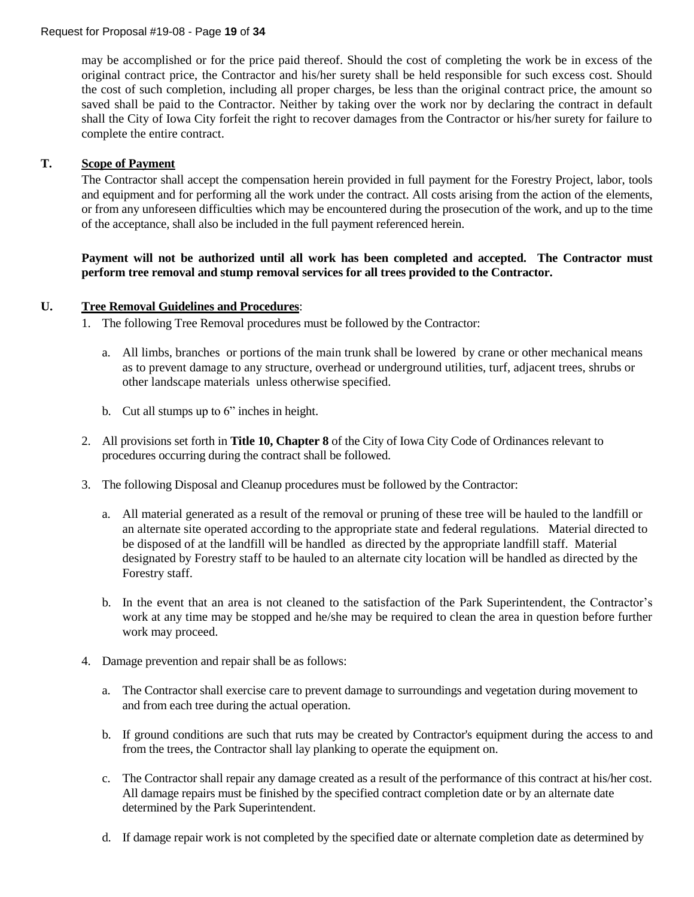may be accomplished or for the price paid thereof. Should the cost of completing the work be in excess of the original contract price, the Contractor and his/her surety shall be held responsible for such excess cost. Should the cost of such completion, including all proper charges, be less than the original contract price, the amount so saved shall be paid to the Contractor. Neither by taking over the work nor by declaring the contract in default shall the City of Iowa City forfeit the right to recover damages from the Contractor or his/her surety for failure to complete the entire contract.

#### **T. Scope of Payment**

The Contractor shall accept the compensation herein provided in full payment for the Forestry Project, labor, tools and equipment and for performing all the work under the contract. All costs arising from the action of the elements, or from any unforeseen difficulties which may be encountered during the prosecution of the work, and up to the time of the acceptance, shall also be included in the full payment referenced herein.

#### **Payment will not be authorized until all work has been completed and accepted. The Contractor must perform tree removal and stump removal services for all trees provided to the Contractor.**

#### **U. Tree Removal Guidelines and Procedures**:

- 1. The following Tree Removal procedures must be followed by the Contractor:
	- a. All limbs, branches or portions of the main trunk shall be lowered by crane or other mechanical means as to prevent damage to any structure, overhead or underground utilities, turf, adjacent trees, shrubs or other landscape materials unless otherwise specified.
	- b. Cut all stumps up to 6" inches in height.
- 2. All provisions set forth in **Title 10, Chapter 8** of the City of Iowa City Code of Ordinances relevant to procedures occurring during the contract shall be followed.
- 3. The following Disposal and Cleanup procedures must be followed by the Contractor:
	- a. All material generated as a result of the removal or pruning of these tree will be hauled to the landfill or an alternate site operated according to the appropriate state and federal regulations. Material directed to be disposed of at the landfill will be handled as directed by the appropriate landfill staff. Material designated by Forestry staff to be hauled to an alternate city location will be handled as directed by the Forestry staff.
	- b. In the event that an area is not cleaned to the satisfaction of the Park Superintendent, the Contractor's work at any time may be stopped and he/she may be required to clean the area in question before further work may proceed.
- 4. Damage prevention and repair shall be as follows:
	- a. The Contractor shall exercise care to prevent damage to surroundings and vegetation during movement to and from each tree during the actual operation.
	- b. If ground conditions are such that ruts may be created by Contractor's equipment during the access to and from the trees, the Contractor shall lay planking to operate the equipment on.
	- c. The Contractor shall repair any damage created as a result of the performance of this contract at his/her cost. All damage repairs must be finished by the specified contract completion date or by an alternate date determined by the Park Superintendent.
	- d. If damage repair work is not completed by the specified date or alternate completion date as determined by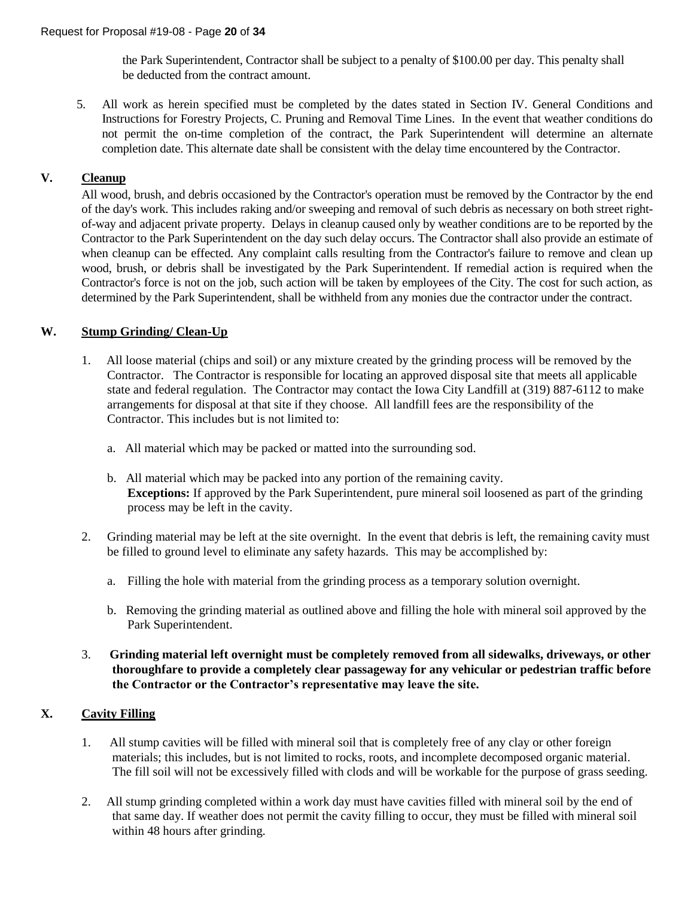the Park Superintendent, Contractor shall be subject to a penalty of \$100.00 per day. This penalty shall be deducted from the contract amount.

5. All work as herein specified must be completed by the dates stated in Section IV. General Conditions and Instructions for Forestry Projects, C. Pruning and Removal Time Lines. In the event that weather conditions do not permit the on-time completion of the contract, the Park Superintendent will determine an alternate completion date. This alternate date shall be consistent with the delay time encountered by the Contractor.

## **V. Cleanup**

All wood, brush, and debris occasioned by the Contractor's operation must be removed by the Contractor by the end of the day's work. This includes raking and/or sweeping and removal of such debris as necessary on both street rightof-way and adjacent private property. Delays in cleanup caused only by weather conditions are to be reported by the Contractor to the Park Superintendent on the day such delay occurs. The Contractor shall also provide an estimate of when cleanup can be effected. Any complaint calls resulting from the Contractor's failure to remove and clean up wood, brush, or debris shall be investigated by the Park Superintendent. If remedial action is required when the Contractor's force is not on the job, such action will be taken by employees of the City. The cost for such action, as determined by the Park Superintendent, shall be withheld from any monies due the contractor under the contract.

#### **W. Stump Grinding/ Clean-Up**

- 1. All loose material (chips and soil) or any mixture created by the grinding process will be removed by the Contractor. The Contractor is responsible for locating an approved disposal site that meets all applicable state and federal regulation. The Contractor may contact the Iowa City Landfill at (319) 887-6112 to make arrangements for disposal at that site if they choose. All landfill fees are the responsibility of the Contractor. This includes but is not limited to:
	- a. All material which may be packed or matted into the surrounding sod.
	- b. All material which may be packed into any portion of the remaining cavity. **Exceptions:** If approved by the Park Superintendent, pure mineral soil loosened as part of the grinding process may be left in the cavity.
- 2. Grinding material may be left at the site overnight. In the event that debris is left, the remaining cavity must be filled to ground level to eliminate any safety hazards. This may be accomplished by:
	- a. Filling the hole with material from the grinding process as a temporary solution overnight.
	- b. Removing the grinding material as outlined above and filling the hole with mineral soil approved by the Park Superintendent.
- 3. **Grinding material left overnight must be completely removed from all sidewalks, driveways, or other thoroughfare to provide a completely clear passageway for any vehicular or pedestrian traffic before the Contractor or the Contractor's representative may leave the site.**

#### **X. Cavity Filling**

- 1. All stump cavities will be filled with mineral soil that is completely free of any clay or other foreign materials; this includes, but is not limited to rocks, roots, and incomplete decomposed organic material. The fill soil will not be excessively filled with clods and will be workable for the purpose of grass seeding.
- 2. All stump grinding completed within a work day must have cavities filled with mineral soil by the end of that same day. If weather does not permit the cavity filling to occur, they must be filled with mineral soil within 48 hours after grinding.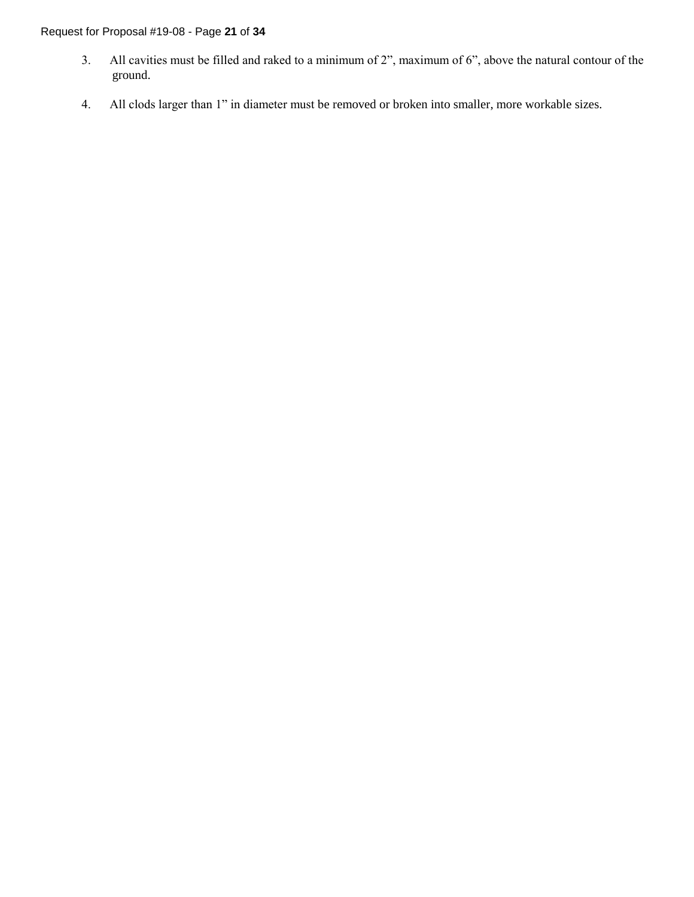#### Request for Proposal #19-08 - Page **21** of **34**

- 3. All cavities must be filled and raked to a minimum of 2", maximum of 6", above the natural contour of the ground.
- 4. All clods larger than 1" in diameter must be removed or broken into smaller, more workable sizes.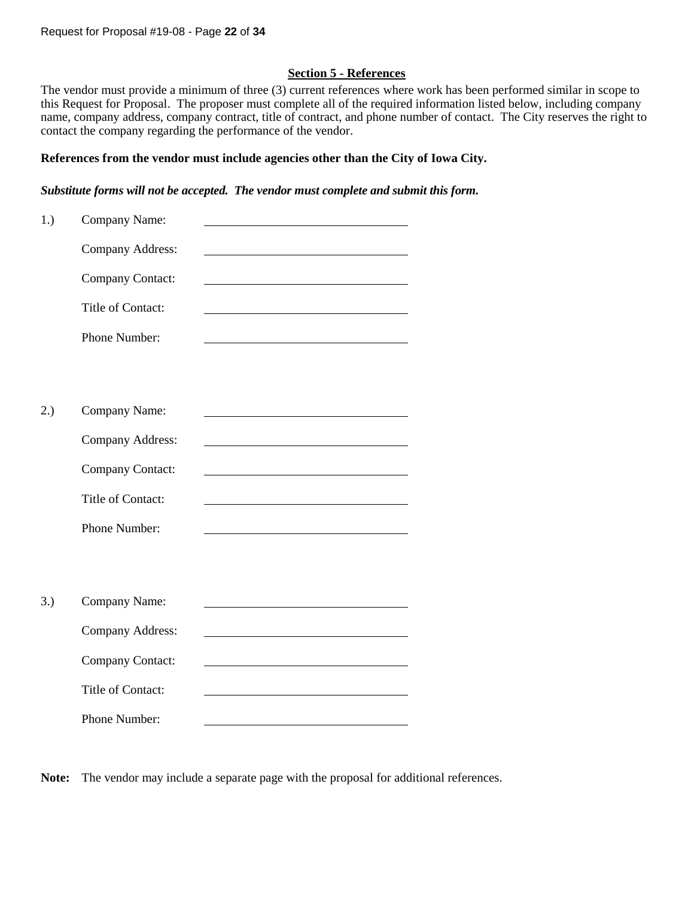#### **Section 5 - References**

The vendor must provide a minimum of three (3) current references where work has been performed similar in scope to this Request for Proposal. The proposer must complete all of the required information listed below, including company name, company address, company contract, title of contract, and phone number of contact. The City reserves the right to contact the company regarding the performance of the vendor.

#### **References from the vendor must include agencies other than the City of Iowa City.**

*Substitute forms will not be accepted. The vendor must complete and submit this form.* 

| 1.) | Company Name:           |  |
|-----|-------------------------|--|
|     | Company Address:        |  |
|     | Company Contact:        |  |
|     | Title of Contact:       |  |
|     | Phone Number:           |  |
|     |                         |  |
|     |                         |  |
| 2.) | Company Name:           |  |
|     | <b>Company Address:</b> |  |
|     | Company Contact:        |  |
|     | Title of Contact:       |  |
|     | Phone Number:           |  |
|     |                         |  |
|     |                         |  |
| 3.) | Company Name:           |  |
|     | Company Address:        |  |
|     | Company Contact:        |  |
|     | Title of Contact:       |  |
|     | Phone Number:           |  |

**Note:** The vendor may include a separate page with the proposal for additional references.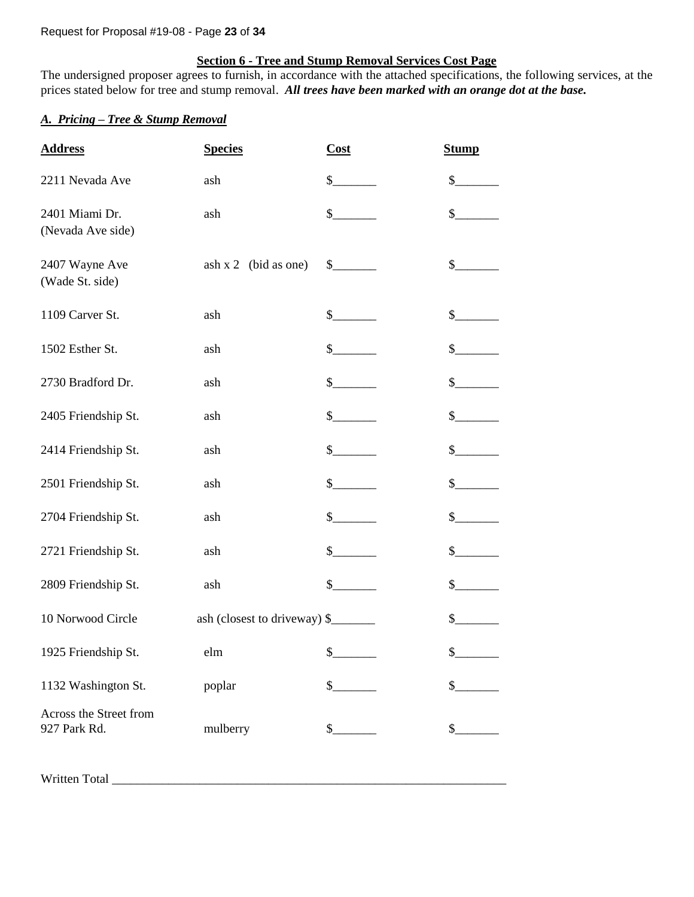#### Request for Proposal #19-08 - Page **23** of **34**

#### **Section 6 - Tree and Stump Removal Services Cost Page**

The undersigned proposer agrees to furnish, in accordance with the attached specifications, the following services, at the prices stated below for tree and stump removal. *All trees have been marked with an orange dot at the base.*

#### *A. Pricing – Tree & Stump Removal*

| <b>Address</b>                         | <b>Species</b>               | Cost                                                                                                                                                                                                                                                                                                                                                                         | <b>Stump</b> |
|----------------------------------------|------------------------------|------------------------------------------------------------------------------------------------------------------------------------------------------------------------------------------------------------------------------------------------------------------------------------------------------------------------------------------------------------------------------|--------------|
| 2211 Nevada Ave                        | ash                          | \$                                                                                                                                                                                                                                                                                                                                                                           | \$           |
| 2401 Miami Dr.<br>(Nevada Ave side)    | ash                          | \$                                                                                                                                                                                                                                                                                                                                                                           | \$           |
| 2407 Wayne Ave<br>(Wade St. side)      | $ash x 2$ (bid as one)       | $\frac{\S_{\frac{1}{2}}}{\S_{\frac{1}{2}}}{\S_{\frac{1}{2}}}{\S_{\frac{1}{2}}}{\S_{\frac{1}{2}}}{\S_{\frac{1}{2}}}{\S_{\frac{1}{2}}}{\S_{\frac{1}{2}}}{\S_{\frac{1}{2}}}{\S_{\frac{1}{2}}}{\S_{\frac{1}{2}}}{\S_{\frac{1}{2}}}{\S_{\frac{1}{2}}}{\S_{\frac{1}{2}}}{\S_{\frac{1}{2}}}{\S_{\frac{1}{2}}}{\S_{\frac{1}{2}}}{\S_{\frac{1}{2}}}{\S_{\frac{1}{2}}}{\S_{\frac{1}{2$ | $\sim$       |
| 1109 Carver St.                        | ash                          | $\sim$                                                                                                                                                                                                                                                                                                                                                                       | $\mathbb{S}$ |
| 1502 Esther St.                        | ash                          | \$                                                                                                                                                                                                                                                                                                                                                                           | \$           |
| 2730 Bradford Dr.                      | ash                          | \$                                                                                                                                                                                                                                                                                                                                                                           | \$           |
| 2405 Friendship St.                    | ash                          | $\mathbb{S}$                                                                                                                                                                                                                                                                                                                                                                 | $\mathbb{S}$ |
| 2414 Friendship St.                    | ash                          | $\mathbb{S}$                                                                                                                                                                                                                                                                                                                                                                 | \$           |
| 2501 Friendship St.                    | ash                          | \$                                                                                                                                                                                                                                                                                                                                                                           | \$           |
| 2704 Friendship St.                    | ash                          | \$                                                                                                                                                                                                                                                                                                                                                                           | $\mathbb{S}$ |
| 2721 Friendship St.                    | ash                          | $\mathbb{S}$                                                                                                                                                                                                                                                                                                                                                                 | $\mathbb{S}$ |
| 2809 Friendship St.                    | ash                          | $\mathbb{S}$                                                                                                                                                                                                                                                                                                                                                                 | $\mathbb{S}$ |
| 10 Norwood Circle                      | ash (closest to driveway) \$ |                                                                                                                                                                                                                                                                                                                                                                              | $\sim$       |
| 1925 Friendship St.                    | elm                          | \$                                                                                                                                                                                                                                                                                                                                                                           | \$           |
| 1132 Washington St.                    | poplar                       | \$                                                                                                                                                                                                                                                                                                                                                                           | \$           |
| Across the Street from<br>927 Park Rd. | mulberry                     | \$                                                                                                                                                                                                                                                                                                                                                                           | \$           |

Written Total \_\_\_\_\_\_\_\_\_\_\_\_\_\_\_\_\_\_\_\_\_\_\_\_\_\_\_\_\_\_\_\_\_\_\_\_\_\_\_\_\_\_\_\_\_\_\_\_\_\_\_\_\_\_\_\_\_\_\_\_\_\_\_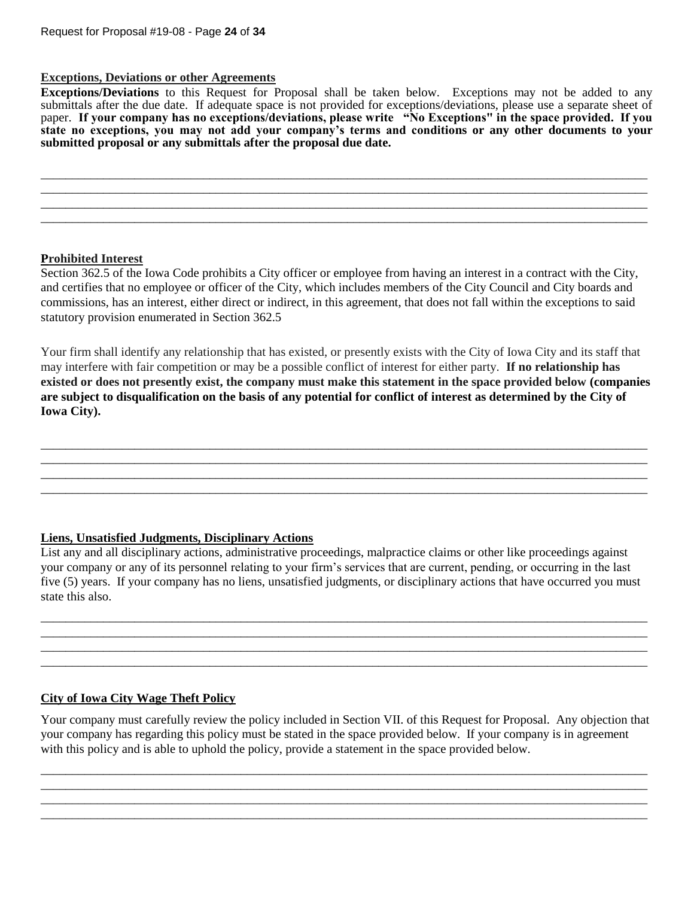#### **Exceptions, Deviations or other Agreements**

**Exceptions/Deviations** to this Request for Proposal shall be taken below. Exceptions may not be added to any submittals after the due date. If adequate space is not provided for exceptions/deviations, please use a separate sheet of paper. **If your company has no exceptions/deviations, please write "No Exceptions" in the space provided. If you state no exceptions, you may not add your company's terms and conditions or any other documents to your submitted proposal or any submittals after the proposal due date.**

\_\_\_\_\_\_\_\_\_\_\_\_\_\_\_\_\_\_\_\_\_\_\_\_\_\_\_\_\_\_\_\_\_\_\_\_\_\_\_\_\_\_\_\_\_\_\_\_\_\_\_\_\_\_\_\_\_\_\_\_\_\_\_\_\_\_\_\_\_\_\_\_\_\_\_\_\_\_\_\_\_\_\_\_\_\_\_\_\_\_\_\_\_\_\_\_\_ \_\_\_\_\_\_\_\_\_\_\_\_\_\_\_\_\_\_\_\_\_\_\_\_\_\_\_\_\_\_\_\_\_\_\_\_\_\_\_\_\_\_\_\_\_\_\_\_\_\_\_\_\_\_\_\_\_\_\_\_\_\_\_\_\_\_\_\_\_\_\_\_\_\_\_\_\_\_\_\_\_\_\_\_\_\_\_\_\_\_\_\_\_\_\_\_\_ \_\_\_\_\_\_\_\_\_\_\_\_\_\_\_\_\_\_\_\_\_\_\_\_\_\_\_\_\_\_\_\_\_\_\_\_\_\_\_\_\_\_\_\_\_\_\_\_\_\_\_\_\_\_\_\_\_\_\_\_\_\_\_\_\_\_\_\_\_\_\_\_\_\_\_\_\_\_\_\_\_\_\_\_\_\_\_\_\_\_\_\_\_\_\_\_\_ \_\_\_\_\_\_\_\_\_\_\_\_\_\_\_\_\_\_\_\_\_\_\_\_\_\_\_\_\_\_\_\_\_\_\_\_\_\_\_\_\_\_\_\_\_\_\_\_\_\_\_\_\_\_\_\_\_\_\_\_\_\_\_\_\_\_\_\_\_\_\_\_\_\_\_\_\_\_\_\_\_\_\_\_\_\_\_\_\_\_\_\_\_\_\_\_\_

#### **Prohibited Interest**

Section 362.5 of the Iowa Code prohibits a City officer or employee from having an interest in a contract with the City, and certifies that no employee or officer of the City, which includes members of the City Council and City boards and commissions, has an interest, either direct or indirect, in this agreement, that does not fall within the exceptions to said statutory provision enumerated in Section 362.5

Your firm shall identify any relationship that has existed, or presently exists with the City of Iowa City and its staff that may interfere with fair competition or may be a possible conflict of interest for either party. **If no relationship has existed or does not presently exist, the company must make this statement in the space provided below (companies are subject to disqualification on the basis of any potential for conflict of interest as determined by the City of Iowa City).**

\_\_\_\_\_\_\_\_\_\_\_\_\_\_\_\_\_\_\_\_\_\_\_\_\_\_\_\_\_\_\_\_\_\_\_\_\_\_\_\_\_\_\_\_\_\_\_\_\_\_\_\_\_\_\_\_\_\_\_\_\_\_\_\_\_\_\_\_\_\_\_\_\_\_\_\_\_\_\_\_\_\_\_\_\_\_\_\_\_\_\_\_\_\_\_\_\_ \_\_\_\_\_\_\_\_\_\_\_\_\_\_\_\_\_\_\_\_\_\_\_\_\_\_\_\_\_\_\_\_\_\_\_\_\_\_\_\_\_\_\_\_\_\_\_\_\_\_\_\_\_\_\_\_\_\_\_\_\_\_\_\_\_\_\_\_\_\_\_\_\_\_\_\_\_\_\_\_\_\_\_\_\_\_\_\_\_\_\_\_\_\_\_\_\_ \_\_\_\_\_\_\_\_\_\_\_\_\_\_\_\_\_\_\_\_\_\_\_\_\_\_\_\_\_\_\_\_\_\_\_\_\_\_\_\_\_\_\_\_\_\_\_\_\_\_\_\_\_\_\_\_\_\_\_\_\_\_\_\_\_\_\_\_\_\_\_\_\_\_\_\_\_\_\_\_\_\_\_\_\_\_\_\_\_\_\_\_\_\_\_\_\_ \_\_\_\_\_\_\_\_\_\_\_\_\_\_\_\_\_\_\_\_\_\_\_\_\_\_\_\_\_\_\_\_\_\_\_\_\_\_\_\_\_\_\_\_\_\_\_\_\_\_\_\_\_\_\_\_\_\_\_\_\_\_\_\_\_\_\_\_\_\_\_\_\_\_\_\_\_\_\_\_\_\_\_\_\_\_\_\_\_\_\_\_\_\_\_\_\_

## **Liens, Unsatisfied Judgments, Disciplinary Actions**

List any and all disciplinary actions, administrative proceedings, malpractice claims or other like proceedings against your company or any of its personnel relating to your firm's services that are current, pending, or occurring in the last five (5) years. If your company has no liens, unsatisfied judgments, or disciplinary actions that have occurred you must state this also.

\_\_\_\_\_\_\_\_\_\_\_\_\_\_\_\_\_\_\_\_\_\_\_\_\_\_\_\_\_\_\_\_\_\_\_\_\_\_\_\_\_\_\_\_\_\_\_\_\_\_\_\_\_\_\_\_\_\_\_\_\_\_\_\_\_\_\_\_\_\_\_\_\_\_\_\_\_\_\_\_\_\_\_\_\_\_\_\_\_\_\_\_\_\_\_\_\_ \_\_\_\_\_\_\_\_\_\_\_\_\_\_\_\_\_\_\_\_\_\_\_\_\_\_\_\_\_\_\_\_\_\_\_\_\_\_\_\_\_\_\_\_\_\_\_\_\_\_\_\_\_\_\_\_\_\_\_\_\_\_\_\_\_\_\_\_\_\_\_\_\_\_\_\_\_\_\_\_\_\_\_\_\_\_\_\_\_\_\_\_\_\_\_\_\_ \_\_\_\_\_\_\_\_\_\_\_\_\_\_\_\_\_\_\_\_\_\_\_\_\_\_\_\_\_\_\_\_\_\_\_\_\_\_\_\_\_\_\_\_\_\_\_\_\_\_\_\_\_\_\_\_\_\_\_\_\_\_\_\_\_\_\_\_\_\_\_\_\_\_\_\_\_\_\_\_\_\_\_\_\_\_\_\_\_\_\_\_\_\_\_\_\_ \_\_\_\_\_\_\_\_\_\_\_\_\_\_\_\_\_\_\_\_\_\_\_\_\_\_\_\_\_\_\_\_\_\_\_\_\_\_\_\_\_\_\_\_\_\_\_\_\_\_\_\_\_\_\_\_\_\_\_\_\_\_\_\_\_\_\_\_\_\_\_\_\_\_\_\_\_\_\_\_\_\_\_\_\_\_\_\_\_\_\_\_\_\_\_\_\_

## **City of Iowa City Wage Theft Policy**

Your company must carefully review the policy included in Section VII. of this Request for Proposal. Any objection that your company has regarding this policy must be stated in the space provided below. If your company is in agreement with this policy and is able to uphold the policy, provide a statement in the space provided below.

\_\_\_\_\_\_\_\_\_\_\_\_\_\_\_\_\_\_\_\_\_\_\_\_\_\_\_\_\_\_\_\_\_\_\_\_\_\_\_\_\_\_\_\_\_\_\_\_\_\_\_\_\_\_\_\_\_\_\_\_\_\_\_\_\_\_\_\_\_\_\_\_\_\_\_\_\_\_\_\_\_\_\_\_\_\_\_\_\_\_\_\_\_\_\_\_\_ \_\_\_\_\_\_\_\_\_\_\_\_\_\_\_\_\_\_\_\_\_\_\_\_\_\_\_\_\_\_\_\_\_\_\_\_\_\_\_\_\_\_\_\_\_\_\_\_\_\_\_\_\_\_\_\_\_\_\_\_\_\_\_\_\_\_\_\_\_\_\_\_\_\_\_\_\_\_\_\_\_\_\_\_\_\_\_\_\_\_\_\_\_\_\_\_\_ \_\_\_\_\_\_\_\_\_\_\_\_\_\_\_\_\_\_\_\_\_\_\_\_\_\_\_\_\_\_\_\_\_\_\_\_\_\_\_\_\_\_\_\_\_\_\_\_\_\_\_\_\_\_\_\_\_\_\_\_\_\_\_\_\_\_\_\_\_\_\_\_\_\_\_\_\_\_\_\_\_\_\_\_\_\_\_\_\_\_\_\_\_\_\_\_\_ \_\_\_\_\_\_\_\_\_\_\_\_\_\_\_\_\_\_\_\_\_\_\_\_\_\_\_\_\_\_\_\_\_\_\_\_\_\_\_\_\_\_\_\_\_\_\_\_\_\_\_\_\_\_\_\_\_\_\_\_\_\_\_\_\_\_\_\_\_\_\_\_\_\_\_\_\_\_\_\_\_\_\_\_\_\_\_\_\_\_\_\_\_\_\_\_\_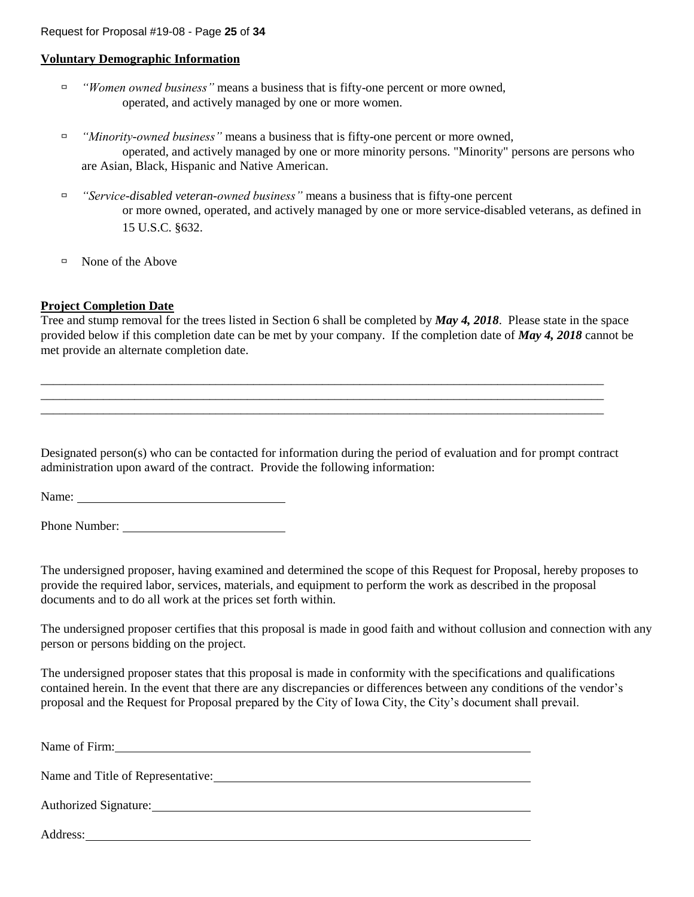#### **Voluntary Demographic Information**

- *"Women owned business"* means a business that is fifty-one percent or more owned, operated, and actively managed by one or more women.
- *"Minority-owned business"* means a business that is fifty-one percent or more owned, operated, and actively managed by one or more minority persons. "Minority" persons are persons who are Asian, Black, Hispanic and Native American.
- *"Service-disabled veteran-owned business"* means a business that is fifty-one percent or more owned, operated, and actively managed by one or more service-disabled veterans, as defined in 15 U.S.C. §632.
- $\Box$  None of the Above

## **Project Completion Date**

Tree and stump removal for the trees listed in Section 6 shall be completed by *May 4, 2018*. Please state in the space provided below if this completion date can be met by your company. If the completion date of *May 4, 2018* cannot be met provide an alternate completion date.

Designated person(s) who can be contacted for information during the period of evaluation and for prompt contract administration upon award of the contract. Provide the following information:

\_\_\_\_\_\_\_\_\_\_\_\_\_\_\_\_\_\_\_\_\_\_\_\_\_\_\_\_\_\_\_\_\_\_\_\_\_\_\_\_\_\_\_\_\_\_\_\_\_\_\_\_\_\_\_\_\_\_\_\_\_\_\_\_\_\_\_\_\_\_\_\_\_\_\_\_\_\_\_\_\_\_\_\_\_\_\_\_\_\_ \_\_\_\_\_\_\_\_\_\_\_\_\_\_\_\_\_\_\_\_\_\_\_\_\_\_\_\_\_\_\_\_\_\_\_\_\_\_\_\_\_\_\_\_\_\_\_\_\_\_\_\_\_\_\_\_\_\_\_\_\_\_\_\_\_\_\_\_\_\_\_\_\_\_\_\_\_\_\_\_\_\_\_\_\_\_\_\_\_\_ \_\_\_\_\_\_\_\_\_\_\_\_\_\_\_\_\_\_\_\_\_\_\_\_\_\_\_\_\_\_\_\_\_\_\_\_\_\_\_\_\_\_\_\_\_\_\_\_\_\_\_\_\_\_\_\_\_\_\_\_\_\_\_\_\_\_\_\_\_\_\_\_\_\_\_\_\_\_\_\_\_\_\_\_\_\_\_\_\_\_

Name:

Phone Number:

The undersigned proposer, having examined and determined the scope of this Request for Proposal, hereby proposes to provide the required labor, services, materials, and equipment to perform the work as described in the proposal documents and to do all work at the prices set forth within.

The undersigned proposer certifies that this proposal is made in good faith and without collusion and connection with any person or persons bidding on the project.

The undersigned proposer states that this proposal is made in conformity with the specifications and qualifications contained herein. In the event that there are any discrepancies or differences between any conditions of the vendor's proposal and the Request for Proposal prepared by the City of Iowa City, the City's document shall prevail.

| Name of Firm:                     |
|-----------------------------------|
| Name and Title of Representative: |
| Authorized Signature:             |

Address: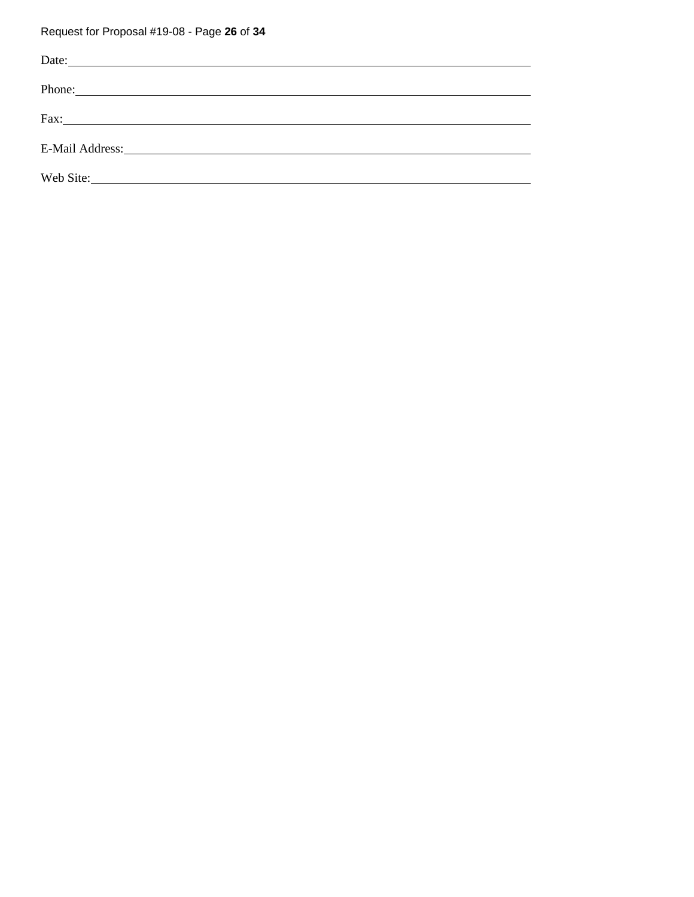# Request for Proposal #19-08 - Page **26** of **34**

| Date:                                                                                                                                                                                                                          |  |
|--------------------------------------------------------------------------------------------------------------------------------------------------------------------------------------------------------------------------------|--|
|                                                                                                                                                                                                                                |  |
|                                                                                                                                                                                                                                |  |
| E-Mail Address: Management and Address and Address and Address and Address and Address and Address and Address and Address and Address and Address and Address and Address and Address and Address and Address and Address and |  |
|                                                                                                                                                                                                                                |  |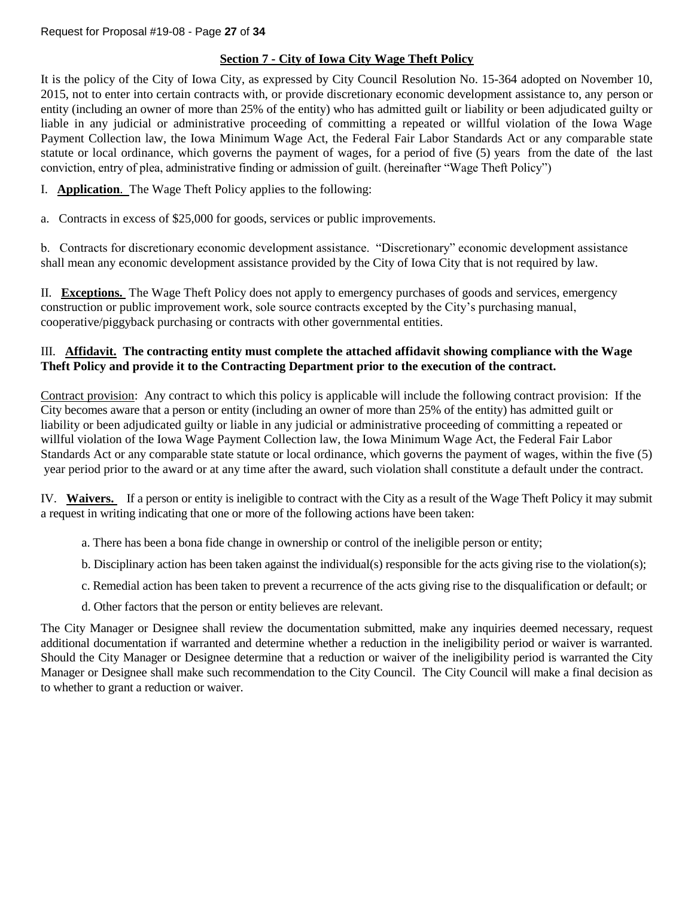## **Section 7 - City of Iowa City Wage Theft Policy**

It is the policy of the City of Iowa City, as expressed by City Council Resolution No. 15-364 adopted on November 10, 2015, not to enter into certain contracts with, or provide discretionary economic development assistance to, any person or entity (including an owner of more than 25% of the entity) who has admitted guilt or liability or been adjudicated guilty or liable in any judicial or administrative proceeding of committing a repeated or willful violation of the Iowa Wage Payment Collection law, the Iowa Minimum Wage Act, the Federal Fair Labor Standards Act or any comparable state statute or local ordinance, which governs the payment of wages, for a period of five (5) years from the date of the last conviction, entry of plea, administrative finding or admission of guilt. (hereinafter "Wage Theft Policy")

- I. **Application**. The Wage Theft Policy applies to the following:
- a. Contracts in excess of \$25,000 for goods, services or public improvements.

b. Contracts for discretionary economic development assistance. "Discretionary" economic development assistance shall mean any economic development assistance provided by the City of Iowa City that is not required by law.

II. **Exceptions.** The Wage Theft Policy does not apply to emergency purchases of goods and services, emergency construction or public improvement work, sole source contracts excepted by the City's purchasing manual, cooperative/piggyback purchasing or contracts with other governmental entities.

## III. **Affidavit. The contracting entity must complete the attached affidavit showing compliance with the Wage Theft Policy and provide it to the Contracting Department prior to the execution of the contract.**

Contract provision: Any contract to which this policy is applicable will include the following contract provision: If the City becomes aware that a person or entity (including an owner of more than 25% of the entity) has admitted guilt or liability or been adjudicated guilty or liable in any judicial or administrative proceeding of committing a repeated or willful violation of the Iowa Wage Payment Collection law, the Iowa Minimum Wage Act, the Federal Fair Labor Standards Act or any comparable state statute or local ordinance, which governs the payment of wages, within the five (5) year period prior to the award or at any time after the award, such violation shall constitute a default under the contract.

IV. **Waivers.** If a person or entity is ineligible to contract with the City as a result of the Wage Theft Policy it may submit a request in writing indicating that one or more of the following actions have been taken:

- a. There has been a bona fide change in ownership or control of the ineligible person or entity;
- b. Disciplinary action has been taken against the individual(s) responsible for the acts giving rise to the violation(s);
- c. Remedial action has been taken to prevent a recurrence of the acts giving rise to the disqualification or default; or
- d. Other factors that the person or entity believes are relevant.

The City Manager or Designee shall review the documentation submitted, make any inquiries deemed necessary, request additional documentation if warranted and determine whether a reduction in the ineligibility period or waiver is warranted. Should the City Manager or Designee determine that a reduction or waiver of the ineligibility period is warranted the City Manager or Designee shall make such recommendation to the City Council. The City Council will make a final decision as to whether to grant a reduction or waiver.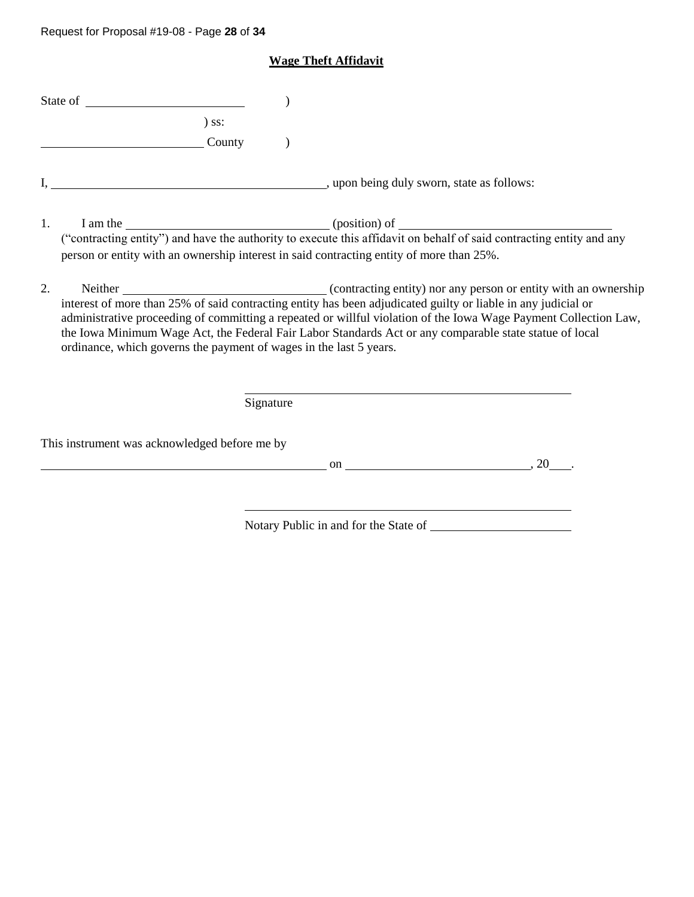# Request for Proposal #19-08 - Page **28** of **34**

# **Wage Theft Affidavit**

|    | $\sum$ SS:                                                                                                                                                                                                                                                                                                                                                                                                         |           |  |
|----|--------------------------------------------------------------------------------------------------------------------------------------------------------------------------------------------------------------------------------------------------------------------------------------------------------------------------------------------------------------------------------------------------------------------|-----------|--|
|    | County                                                                                                                                                                                                                                                                                                                                                                                                             |           |  |
|    |                                                                                                                                                                                                                                                                                                                                                                                                                    |           |  |
|    | I am the <u>contracting</u> entity") and have the authority to execute this affidavit on behalf of said contracting entity and any<br>1.<br>person or entity with an ownership interest in said contracting entity of more than 25%.                                                                                                                                                                               |           |  |
| 2. | interest of more than 25% of said contracting entity has been adjudicated guilty or liable in any judicial or<br>administrative proceeding of committing a repeated or willful violation of the Iowa Wage Payment Collection Law,<br>the Iowa Minimum Wage Act, the Federal Fair Labor Standards Act or any comparable state statue of local<br>ordinance, which governs the payment of wages in the last 5 years. |           |  |
|    |                                                                                                                                                                                                                                                                                                                                                                                                                    | Signature |  |
|    | This instrument was acknowledged before me by                                                                                                                                                                                                                                                                                                                                                                      |           |  |
|    |                                                                                                                                                                                                                                                                                                                                                                                                                    |           |  |
|    |                                                                                                                                                                                                                                                                                                                                                                                                                    |           |  |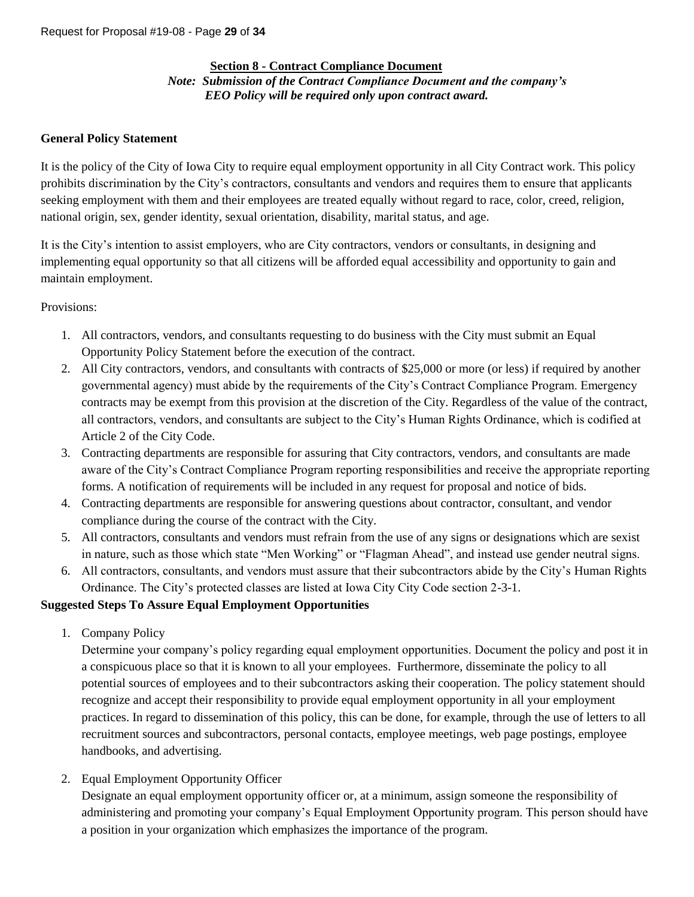#### **Section 8 - Contract Compliance Document**

*Note: Submission of the Contract Compliance Document and the company's EEO Policy will be required only upon contract award.*

#### **General Policy Statement**

It is the policy of the City of Iowa City to require equal employment opportunity in all City Contract work. This policy prohibits discrimination by the City's contractors, consultants and vendors and requires them to ensure that applicants seeking employment with them and their employees are treated equally without regard to race, color, creed, religion, national origin, sex, gender identity, sexual orientation, disability, marital status, and age.

It is the City's intention to assist employers, who are City contractors, vendors or consultants, in designing and implementing equal opportunity so that all citizens will be afforded equal accessibility and opportunity to gain and maintain employment.

#### Provisions:

- 1. All contractors, vendors, and consultants requesting to do business with the City must submit an Equal Opportunity Policy Statement before the execution of the contract.
- 2. All City contractors, vendors, and consultants with contracts of \$25,000 or more (or less) if required by another governmental agency) must abide by the requirements of the City's Contract Compliance Program. Emergency contracts may be exempt from this provision at the discretion of the City. Regardless of the value of the contract, all contractors, vendors, and consultants are subject to the City's Human Rights Ordinance, which is codified at Article 2 of the City Code.
- 3. Contracting departments are responsible for assuring that City contractors, vendors, and consultants are made aware of the City's Contract Compliance Program reporting responsibilities and receive the appropriate reporting forms. A notification of requirements will be included in any request for proposal and notice of bids.
- 4. Contracting departments are responsible for answering questions about contractor, consultant, and vendor compliance during the course of the contract with the City.
- 5. All contractors, consultants and vendors must refrain from the use of any signs or designations which are sexist in nature, such as those which state "Men Working" or "Flagman Ahead", and instead use gender neutral signs.
- 6. All contractors, consultants, and vendors must assure that their subcontractors abide by the City's Human Rights Ordinance. The City's protected classes are listed at Iowa City City Code section 2-3-1.

## **Suggested Steps To Assure Equal Employment Opportunities**

1. Company Policy

Determine your company's policy regarding equal employment opportunities. Document the policy and post it in a conspicuous place so that it is known to all your employees. Furthermore, disseminate the policy to all potential sources of employees and to their subcontractors asking their cooperation. The policy statement should recognize and accept their responsibility to provide equal employment opportunity in all your employment practices. In regard to dissemination of this policy, this can be done, for example, through the use of letters to all recruitment sources and subcontractors, personal contacts, employee meetings, web page postings, employee handbooks, and advertising.

2. Equal Employment Opportunity Officer

Designate an equal employment opportunity officer or, at a minimum, assign someone the responsibility of administering and promoting your company's Equal Employment Opportunity program. This person should have a position in your organization which emphasizes the importance of the program.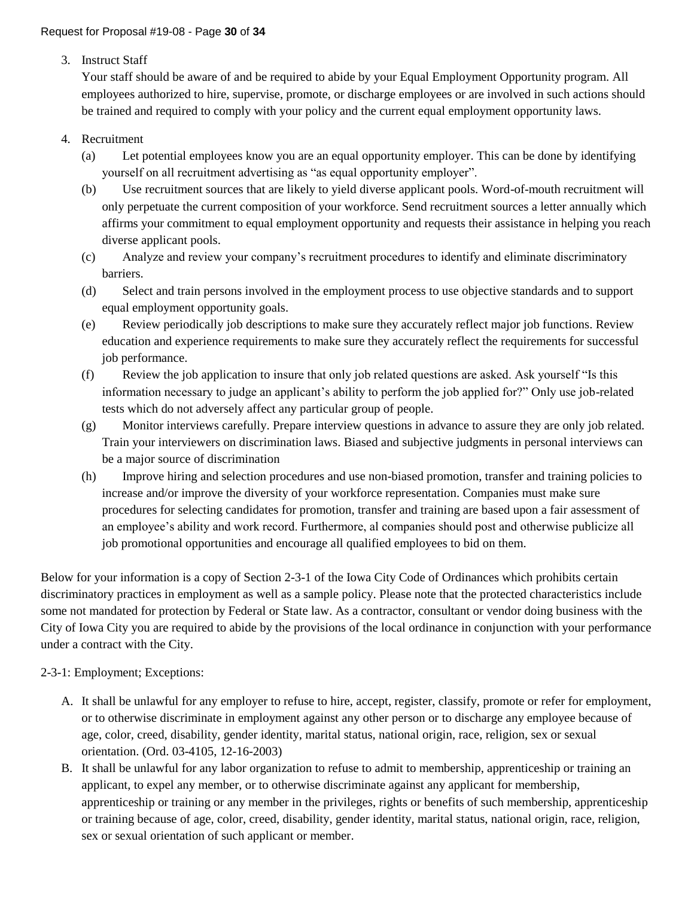3. Instruct Staff

Your staff should be aware of and be required to abide by your Equal Employment Opportunity program. All employees authorized to hire, supervise, promote, or discharge employees or are involved in such actions should be trained and required to comply with your policy and the current equal employment opportunity laws.

## 4. Recruitment

- (a) Let potential employees know you are an equal opportunity employer. This can be done by identifying yourself on all recruitment advertising as "as equal opportunity employer".
- (b) Use recruitment sources that are likely to yield diverse applicant pools. Word-of-mouth recruitment will only perpetuate the current composition of your workforce. Send recruitment sources a letter annually which affirms your commitment to equal employment opportunity and requests their assistance in helping you reach diverse applicant pools.
- (c) Analyze and review your company's recruitment procedures to identify and eliminate discriminatory barriers.
- (d) Select and train persons involved in the employment process to use objective standards and to support equal employment opportunity goals.
- (e) Review periodically job descriptions to make sure they accurately reflect major job functions. Review education and experience requirements to make sure they accurately reflect the requirements for successful job performance.
- (f) Review the job application to insure that only job related questions are asked. Ask yourself "Is this information necessary to judge an applicant's ability to perform the job applied for?" Only use job-related tests which do not adversely affect any particular group of people.
- (g) Monitor interviews carefully. Prepare interview questions in advance to assure they are only job related. Train your interviewers on discrimination laws. Biased and subjective judgments in personal interviews can be a major source of discrimination
- (h) Improve hiring and selection procedures and use non-biased promotion, transfer and training policies to increase and/or improve the diversity of your workforce representation. Companies must make sure procedures for selecting candidates for promotion, transfer and training are based upon a fair assessment of an employee's ability and work record. Furthermore, al companies should post and otherwise publicize all job promotional opportunities and encourage all qualified employees to bid on them.

Below for your information is a copy of Section 2-3-1 of the Iowa City Code of Ordinances which prohibits certain discriminatory practices in employment as well as a sample policy. Please note that the protected characteristics include some not mandated for protection by Federal or State law. As a contractor, consultant or vendor doing business with the City of Iowa City you are required to abide by the provisions of the local ordinance in conjunction with your performance under a contract with the City.

## 2-3-1: Employment; Exceptions:

- A. It shall be unlawful for any employer to refuse to hire, accept, register, classify, promote or refer for employment, or to otherwise discriminate in employment against any other person or to discharge any employee because of age, color, creed, disability, gender identity, marital status, national origin, race, religion, sex or sexual orientation. (Ord. 03-4105, 12-16-2003)
- B. It shall be unlawful for any labor organization to refuse to admit to membership, apprenticeship or training an applicant, to expel any member, or to otherwise discriminate against any applicant for membership, apprenticeship or training or any member in the privileges, rights or benefits of such membership, apprenticeship or training because of age, color, creed, disability, gender identity, marital status, national origin, race, religion, sex or sexual orientation of such applicant or member.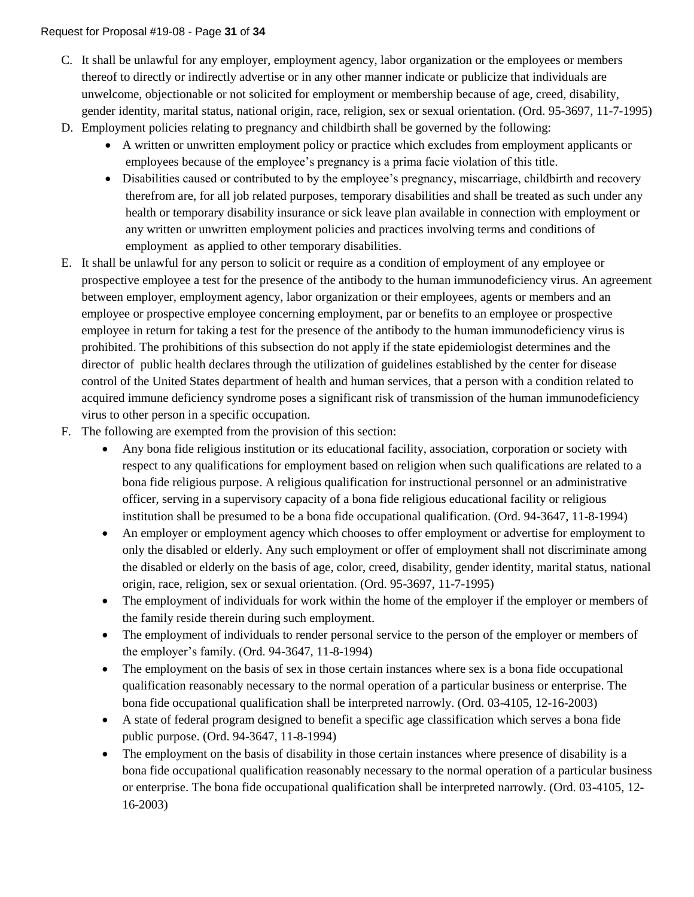- C. It shall be unlawful for any employer, employment agency, labor organization or the employees or members thereof to directly or indirectly advertise or in any other manner indicate or publicize that individuals are unwelcome, objectionable or not solicited for employment or membership because of age, creed, disability, gender identity, marital status, national origin, race, religion, sex or sexual orientation. (Ord. 95-3697, 11-7-1995)
- D. Employment policies relating to pregnancy and childbirth shall be governed by the following:
	- A written or unwritten employment policy or practice which excludes from employment applicants or employees because of the employee's pregnancy is a prima facie violation of this title.
	- Disabilities caused or contributed to by the employee's pregnancy, miscarriage, childbirth and recovery therefrom are, for all job related purposes, temporary disabilities and shall be treated as such under any health or temporary disability insurance or sick leave plan available in connection with employment or any written or unwritten employment policies and practices involving terms and conditions of employment as applied to other temporary disabilities.
- E. It shall be unlawful for any person to solicit or require as a condition of employment of any employee or prospective employee a test for the presence of the antibody to the human immunodeficiency virus. An agreement between employer, employment agency, labor organization or their employees, agents or members and an employee or prospective employee concerning employment, par or benefits to an employee or prospective employee in return for taking a test for the presence of the antibody to the human immunodeficiency virus is prohibited. The prohibitions of this subsection do not apply if the state epidemiologist determines and the director of public health declares through the utilization of guidelines established by the center for disease control of the United States department of health and human services, that a person with a condition related to acquired immune deficiency syndrome poses a significant risk of transmission of the human immunodeficiency virus to other person in a specific occupation.
- F. The following are exempted from the provision of this section:
	- Any bona fide religious institution or its educational facility, association, corporation or society with respect to any qualifications for employment based on religion when such qualifications are related to a bona fide religious purpose. A religious qualification for instructional personnel or an administrative officer, serving in a supervisory capacity of a bona fide religious educational facility or religious institution shall be presumed to be a bona fide occupational qualification. (Ord. 94-3647, 11-8-1994)
	- An employer or employment agency which chooses to offer employment or advertise for employment to only the disabled or elderly. Any such employment or offer of employment shall not discriminate among the disabled or elderly on the basis of age, color, creed, disability, gender identity, marital status, national origin, race, religion, sex or sexual orientation. (Ord. 95-3697, 11-7-1995)
	- The employment of individuals for work within the home of the employer if the employer or members of the family reside therein during such employment.
	- The employment of individuals to render personal service to the person of the employer or members of the employer's family. (Ord. 94-3647, 11-8-1994)
	- The employment on the basis of sex in those certain instances where sex is a bona fide occupational qualification reasonably necessary to the normal operation of a particular business or enterprise. The bona fide occupational qualification shall be interpreted narrowly. (Ord. 03-4105, 12-16-2003)
	- A state of federal program designed to benefit a specific age classification which serves a bona fide public purpose. (Ord. 94-3647, 11-8-1994)
	- The employment on the basis of disability in those certain instances where presence of disability is a bona fide occupational qualification reasonably necessary to the normal operation of a particular business or enterprise. The bona fide occupational qualification shall be interpreted narrowly. (Ord. 03-4105, 12- 16-2003)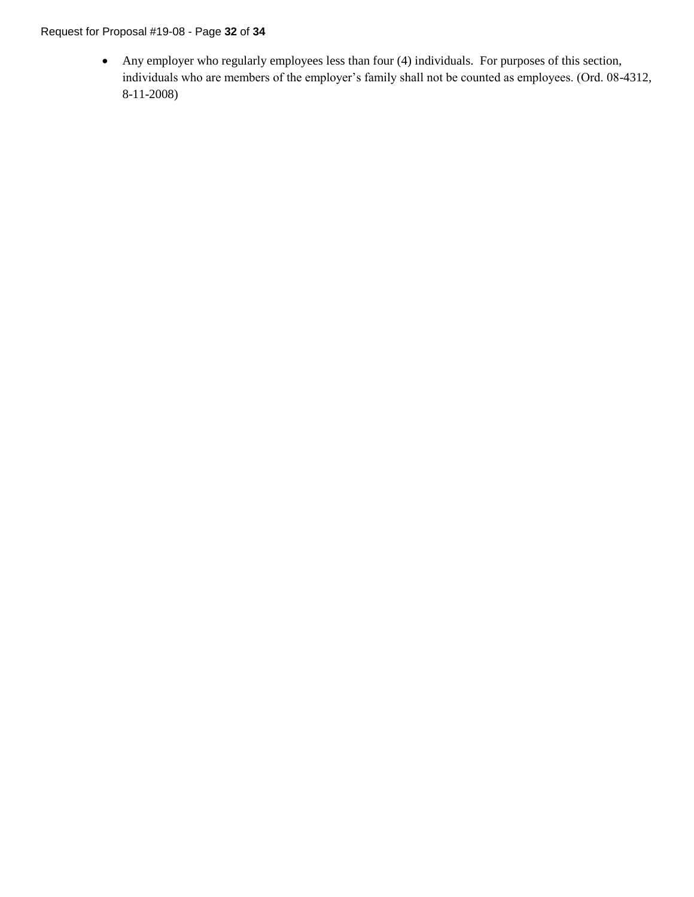## Request for Proposal #19-08 - Page **32** of **34**

• Any employer who regularly employees less than four (4) individuals. For purposes of this section, individuals who are members of the employer's family shall not be counted as employees. (Ord. 08-4312, 8-11-2008)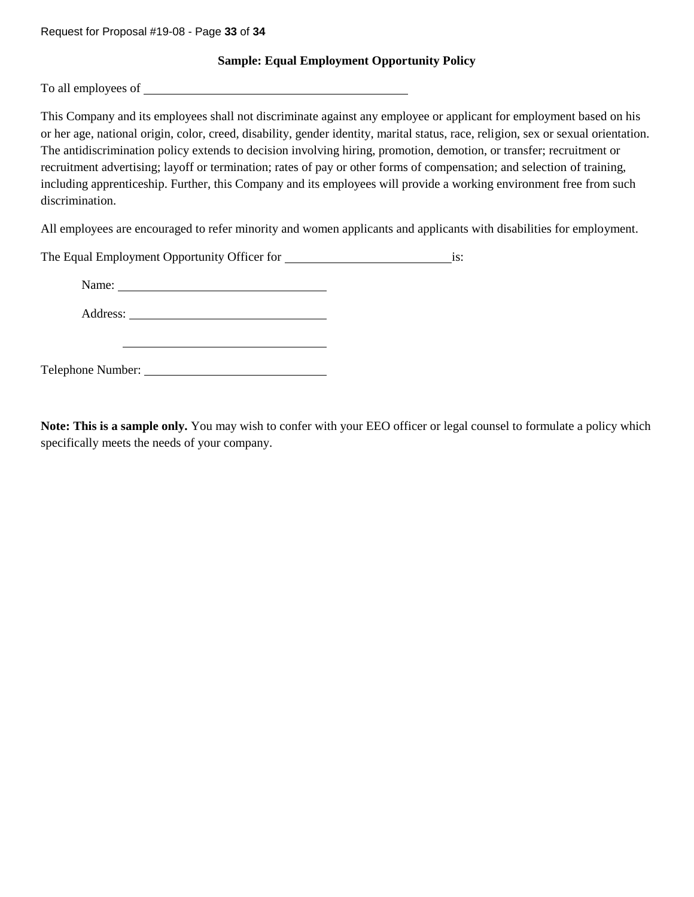Request for Proposal #19-08 - Page **33** of **34**

**Sample: Equal Employment Opportunity Policy**

To all employees of

This Company and its employees shall not discriminate against any employee or applicant for employment based on his or her age, national origin, color, creed, disability, gender identity, marital status, race, religion, sex or sexual orientation. The antidiscrimination policy extends to decision involving hiring, promotion, demotion, or transfer; recruitment or recruitment advertising; layoff or termination; rates of pay or other forms of compensation; and selection of training, including apprenticeship. Further, this Company and its employees will provide a working environment free from such discrimination.

All employees are encouraged to refer minority and women applicants and applicants with disabilities for employment.

| The Equal Employment Opportunity Officer for | is: |
|----------------------------------------------|-----|
|                                              |     |
|                                              |     |
|                                              |     |

**Note: This is a sample only.** You may wish to confer with your EEO officer or legal counsel to formulate a policy which specifically meets the needs of your company.